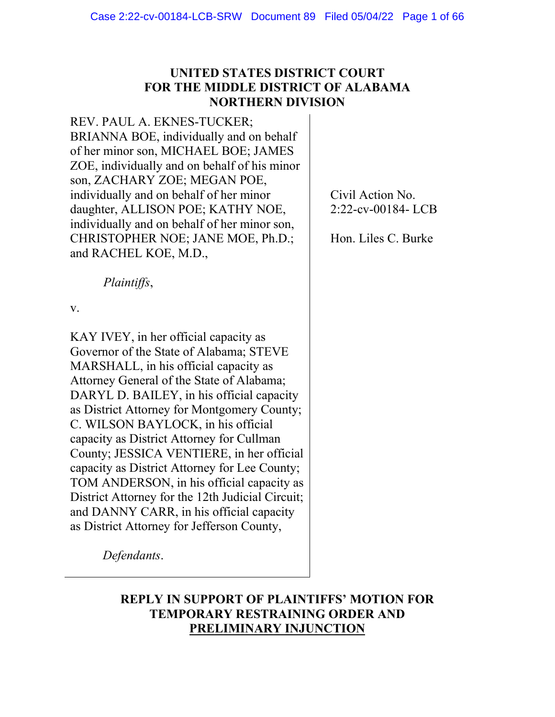# **UNITED STATES DISTRICT COURT FOR THE MIDDLE DISTRICT OF ALABAMA NORTHERN DIVISION**

REV. PAUL A. EKNES-TUCKER; BRIANNA BOE, individually and on behalf of her minor son, MICHAEL BOE; JAMES ZOE, individually and on behalf of his minor son, ZACHARY ZOE; MEGAN POE, individually and on behalf of her minor daughter, ALLISON POE; KATHY NOE, individually and on behalf of her minor son, CHRISTOPHER NOE; JANE MOE, Ph.D.; and RACHEL KOE, M.D.,

*Plaintiffs*,

v.

KAY IVEY, in her official capacity as Governor of the State of Alabama; STEVE MARSHALL, in his official capacity as Attorney General of the State of Alabama; DARYL D. BAILEY, in his official capacity as District Attorney for Montgomery County; C. WILSON BAYLOCK, in his official capacity as District Attorney for Cullman County; JESSICA VENTIERE, in her official capacity as District Attorney for Lee County; TOM ANDERSON, in his official capacity as District Attorney for the 12th Judicial Circuit; and DANNY CARR, in his official capacity as District Attorney for Jefferson County,

Civil Action No. 2:22-cv-00184- LCB

Hon. Liles C. Burke

*Defendants*.

# **REPLY IN SUPPORT OF PLAINTIFFS' MOTION FOR TEMPORARY RESTRAINING ORDER AND PRELIMINARY INJUNCTION**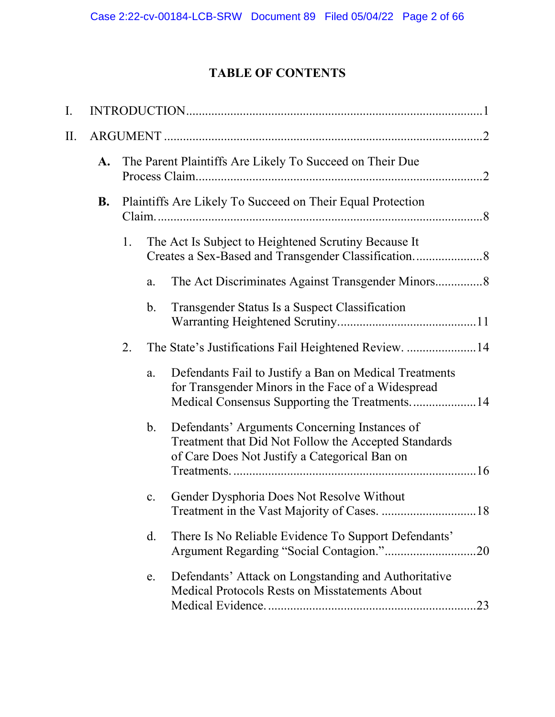# **TABLE OF CONTENTS**

| I.  |                 |    |                |                                                                                                                                                               |  |
|-----|-----------------|----|----------------|---------------------------------------------------------------------------------------------------------------------------------------------------------------|--|
| ΙΙ. |                 |    |                |                                                                                                                                                               |  |
|     | A.<br><b>B.</b> |    |                | The Parent Plaintiffs Are Likely To Succeed on Their Due                                                                                                      |  |
|     |                 |    |                | Plaintiffs Are Likely To Succeed on Their Equal Protection                                                                                                    |  |
|     |                 | 1. |                | The Act Is Subject to Heightened Scrutiny Because It                                                                                                          |  |
|     |                 |    | a.             |                                                                                                                                                               |  |
|     |                 |    | b.             | Transgender Status Is a Suspect Classification                                                                                                                |  |
|     |                 | 2. |                | The State's Justifications Fail Heightened Review. 14                                                                                                         |  |
|     |                 |    | a.             | Defendants Fail to Justify a Ban on Medical Treatments<br>for Transgender Minors in the Face of a Widespread<br>Medical Consensus Supporting the Treatments14 |  |
|     |                 |    | $\mathbf{b}$ . | Defendants' Arguments Concerning Instances of<br>Treatment that Did Not Follow the Accepted Standards<br>of Care Does Not Justify a Categorical Ban on        |  |
|     |                 |    | c.             | Gender Dysphoria Does Not Resolve Without                                                                                                                     |  |
|     |                 |    | d.             | There Is No Reliable Evidence To Support Defendants'<br>.20                                                                                                   |  |
|     |                 |    | e.             | Defendants' Attack on Longstanding and Authoritative<br>Medical Protocols Rests on Misstatements About                                                        |  |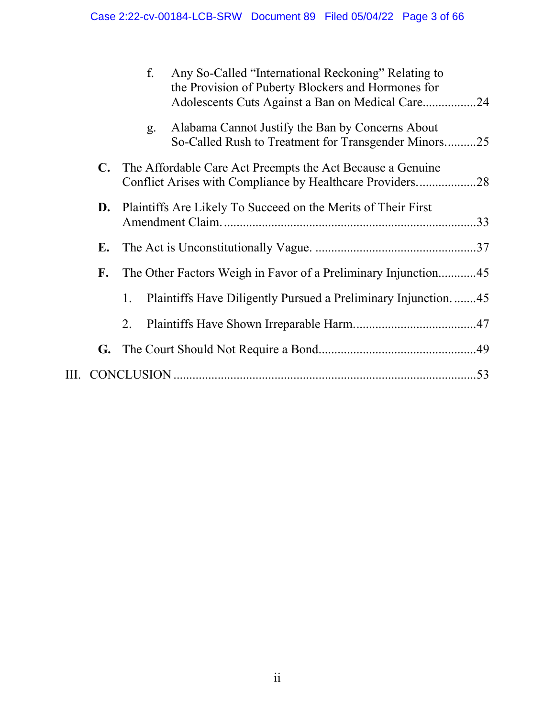|    | f.                                                            | Any So-Called "International Reckoning" Relating to<br>the Provision of Puberty Blockers and Hormones for<br>Adolescents Cuts Against a Ban on Medical Care24 |  |
|----|---------------------------------------------------------------|---------------------------------------------------------------------------------------------------------------------------------------------------------------|--|
|    | g <sub>1</sub>                                                | Alabama Cannot Justify the Ban by Concerns About<br>So-Called Rush to Treatment for Transgender Minors25                                                      |  |
| C. |                                                               | The Affordable Care Act Preempts the Act Because a Genuine<br>Conflict Arises with Compliance by Healthcare Providers28                                       |  |
| D. | Plaintiffs Are Likely To Succeed on the Merits of Their First |                                                                                                                                                               |  |
| E. |                                                               |                                                                                                                                                               |  |
| F. |                                                               | The Other Factors Weigh in Favor of a Preliminary Injunction45                                                                                                |  |
|    | 1.                                                            | Plaintiffs Have Diligently Pursued a Preliminary Injunction45                                                                                                 |  |
|    | 2.                                                            |                                                                                                                                                               |  |
| G. |                                                               |                                                                                                                                                               |  |
|    |                                                               |                                                                                                                                                               |  |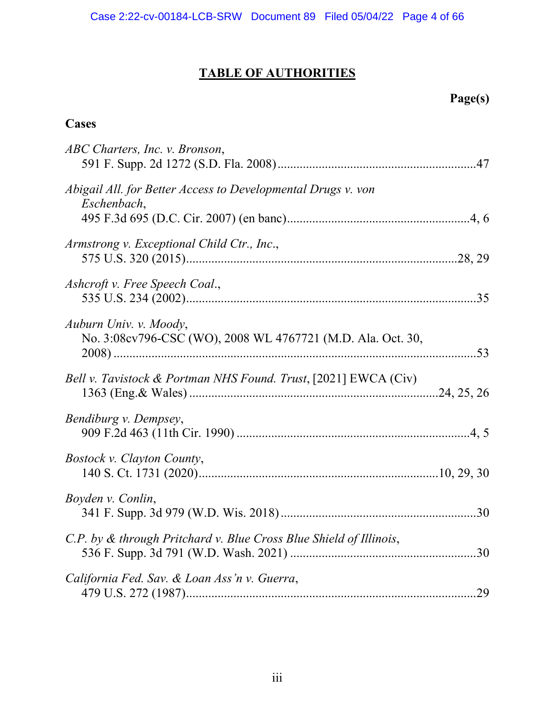# **TABLE OF AUTHORITIES**

# **Page(s)**

# **Cases**

| ABC Charters, Inc. v. Bronson,                                                        |  |
|---------------------------------------------------------------------------------------|--|
| Abigail All. for Better Access to Developmental Drugs v. von<br>Eschenbach,           |  |
| Armstrong v. Exceptional Child Ctr., Inc.,                                            |  |
| Ashcroft v. Free Speech Coal.,                                                        |  |
| Auburn Univ. v. Moody,<br>No. 3:08cv796-CSC (WO), 2008 WL 4767721 (M.D. Ala. Oct. 30, |  |
| Bell v. Tavistock & Portman NHS Found. Trust, [2021] EWCA (Civ)                       |  |
| Bendiburg v. Dempsey,                                                                 |  |
| <b>Bostock v. Clayton County,</b>                                                     |  |
| Boyden v. Conlin,                                                                     |  |
| C.P. by & through Pritchard v. Blue Cross Blue Shield of Illinois,                    |  |
| California Fed. Sav. & Loan Ass'n v. Guerra,                                          |  |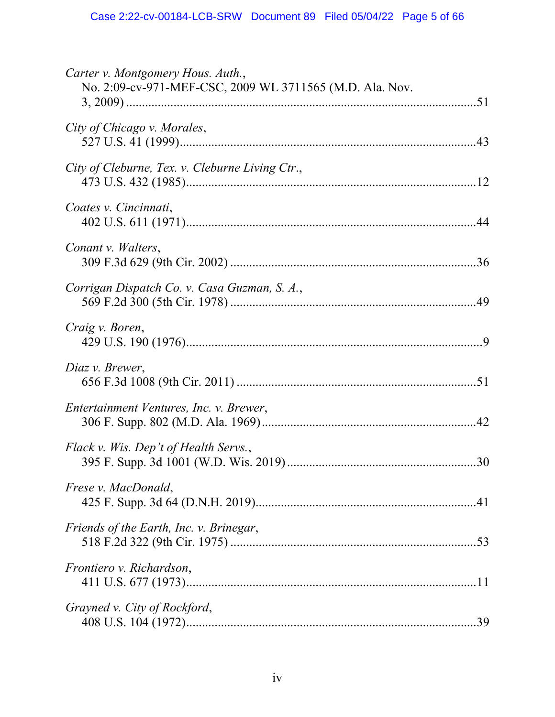| Carter v. Montgomery Hous. Auth.,<br>No. 2:09-cv-971-MEF-CSC, 2009 WL 3711565 (M.D. Ala. Nov. |
|-----------------------------------------------------------------------------------------------|
|                                                                                               |
| City of Chicago v. Morales,                                                                   |
| City of Cleburne, Tex. v. Cleburne Living Ctr.,                                               |
| Coates v. Cincinnati,                                                                         |
| Conant v. Walters,                                                                            |
| Corrigan Dispatch Co. v. Casa Guzman, S. A.,                                                  |
| Craig v. Boren,                                                                               |
| Diaz v. Brewer,                                                                               |
| Entertainment Ventures, Inc. v. Brewer,                                                       |
| Flack v. Wis. Dep't of Health Servs.,                                                         |
| <i>Frese v. MacDonald,</i>                                                                    |
| Friends of the Earth, Inc. v. Brinegar,                                                       |
| Frontiero v. Richardson,                                                                      |
| Grayned v. City of Rockford,                                                                  |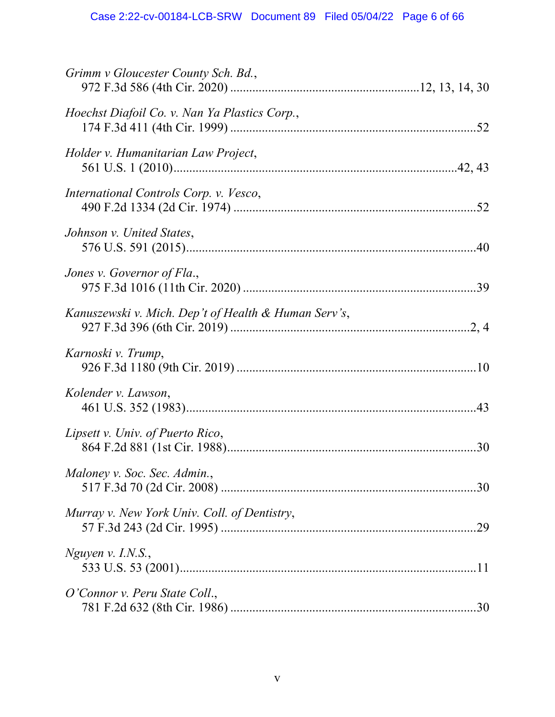| Grimm v Gloucester County Sch. Bd.,                  |     |
|------------------------------------------------------|-----|
| Hoechst Diafoil Co. v. Nan Ya Plastics Corp.,        |     |
| Holder v. Humanitarian Law Project,                  |     |
| International Controls Corp. v. Vesco,               |     |
| Johnson v. United States,                            |     |
| Jones v. Governor of Fla.,                           |     |
| Kanuszewski v. Mich. Dep't of Health & Human Serv's, |     |
| Karnoski v. Trump,                                   |     |
| Kolender v. Lawson,                                  |     |
| Lipsett v. Univ. of Puerto Rico,                     | .30 |
| Maloney v. Soc. Sec. Admin.,                         |     |
| Murray v. New York Univ. Coll. of Dentistry,         |     |
| Nguyen v. I.N.S.,                                    |     |
| O'Connor v. Peru State Coll.,                        |     |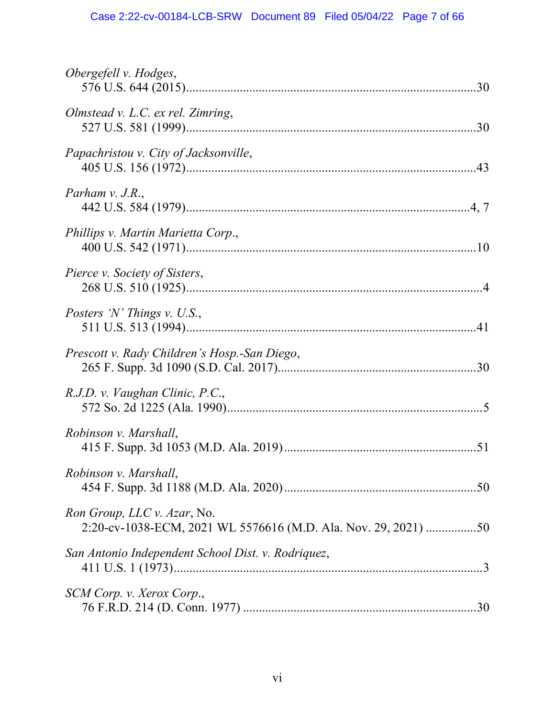| Obergefell v. Hodges,                                                                         |
|-----------------------------------------------------------------------------------------------|
| Olmstead v. L.C. ex rel. Zimring,                                                             |
| Papachristou v. City of Jacksonville,                                                         |
| Parham v. J.R.,                                                                               |
| Phillips v. Martin Marietta Corp.,                                                            |
| Pierce v. Society of Sisters,                                                                 |
| Posters 'N' Things v. U.S.,                                                                   |
| Prescott v. Rady Children's Hosp.-San Diego,                                                  |
| R.J.D. v. Vaughan Clinic, P.C.,                                                               |
| Robinson v. Marshall,                                                                         |
| Robinson v. Marshall,                                                                         |
| Ron Group, LLC v. Azar, No.<br>2:20-cv-1038-ECM, 2021 WL 5576616 (M.D. Ala. Nov. 29, 2021) 50 |
| San Antonio Independent School Dist. v. Rodriquez,                                            |
| SCM Corp. v. Xerox Corp.,                                                                     |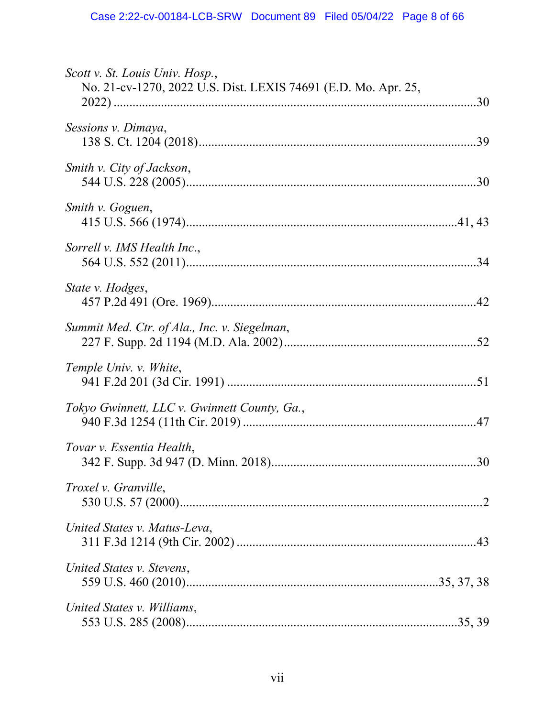| Scott v. St. Louis Univ. Hosp.,<br>No. 21-cv-1270, 2022 U.S. Dist. LEXIS 74691 (E.D. Mo. Apr. 25, |  |
|---------------------------------------------------------------------------------------------------|--|
| Sessions v. Dimaya,                                                                               |  |
| Smith v. City of Jackson,                                                                         |  |
| Smith v. Goguen,                                                                                  |  |
| Sorrell v. IMS Health Inc.,                                                                       |  |
| State v. Hodges,                                                                                  |  |
| Summit Med. Ctr. of Ala., Inc. v. Siegelman,                                                      |  |
| Temple Univ. v. White,                                                                            |  |
| Tokyo Gwinnett, LLC v. Gwinnett County, Ga.,                                                      |  |
| Tovar v. Essentia Health,                                                                         |  |
| <i>Troxel v. Granville,</i>                                                                       |  |
| United States v. Matus-Leva,                                                                      |  |
| United States v. Stevens,                                                                         |  |
| United States v. Williams,                                                                        |  |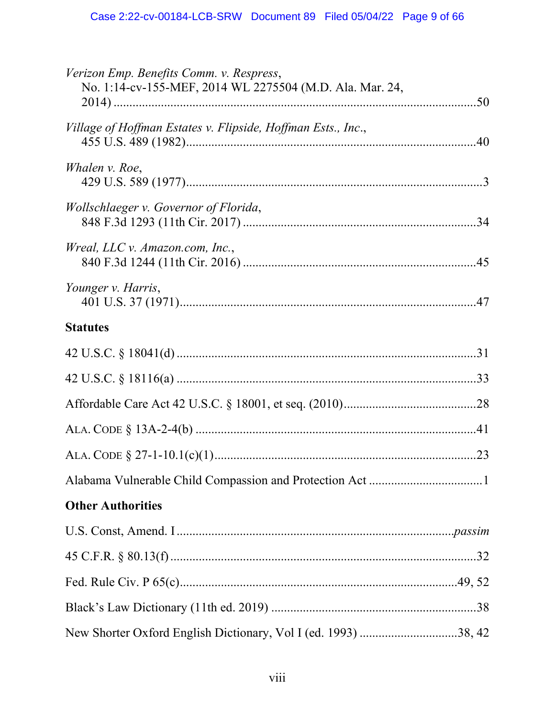| Verizon Emp. Benefits Comm. v. Respress,                       |  |
|----------------------------------------------------------------|--|
| No. 1:14-cv-155-MEF, 2014 WL 2275504 (M.D. Ala. Mar. 24,       |  |
| Village of Hoffman Estates v. Flipside, Hoffman Ests., Inc.,   |  |
| Whalen v. Roe,                                                 |  |
| Wollschlaeger v. Governor of Florida,                          |  |
| Wreal, LLC v. Amazon.com, Inc.,                                |  |
| Younger v. Harris,                                             |  |
| <b>Statutes</b>                                                |  |
|                                                                |  |
|                                                                |  |
|                                                                |  |
|                                                                |  |
|                                                                |  |
|                                                                |  |
| <b>Other Authorities</b>                                       |  |
|                                                                |  |
|                                                                |  |
|                                                                |  |
|                                                                |  |
| New Shorter Oxford English Dictionary, Vol I (ed. 1993) 38, 42 |  |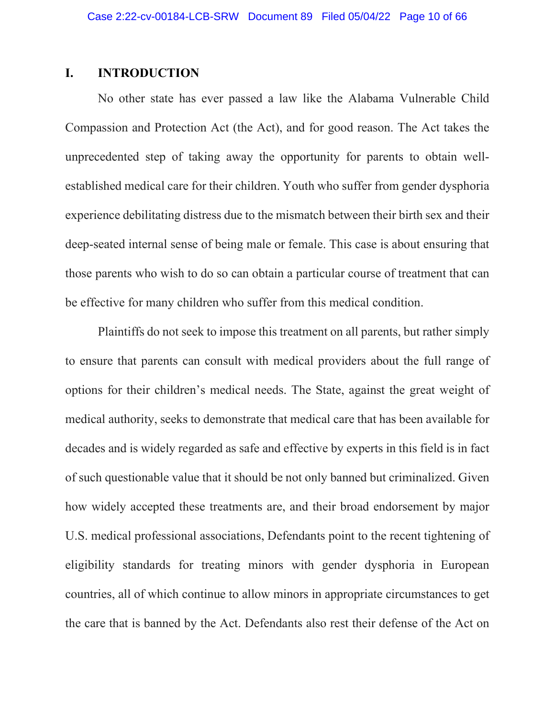## <span id="page-9-0"></span>**I. INTRODUCTION**

No other state has ever passed a law like the Alabama Vulnerable Child Compassion and Protection Act (the Act), and for good reason. The Act takes the unprecedented step of taking away the opportunity for parents to obtain wellestablished medical care for their children. Youth who suffer from gender dysphoria experience debilitating distress due to the mismatch between their birth sex and their deep-seated internal sense of being male or female. This case is about ensuring that those parents who wish to do so can obtain a particular course of treatment that can be effective for many children who suffer from this medical condition.

Plaintiffs do not seek to impose this treatment on all parents, but rather simply to ensure that parents can consult with medical providers about the full range of options for their children's medical needs. The State, against the great weight of medical authority, seeks to demonstrate that medical care that has been available for decades and is widely regarded as safe and effective by experts in this field is in fact of such questionable value that it should be not only banned but criminalized. Given how widely accepted these treatments are, and their broad endorsement by major U.S. medical professional associations, Defendants point to the recent tightening of eligibility standards for treating minors with gender dysphoria in European countries, all of which continue to allow minors in appropriate circumstances to get the care that is banned by the Act. Defendants also rest their defense of the Act on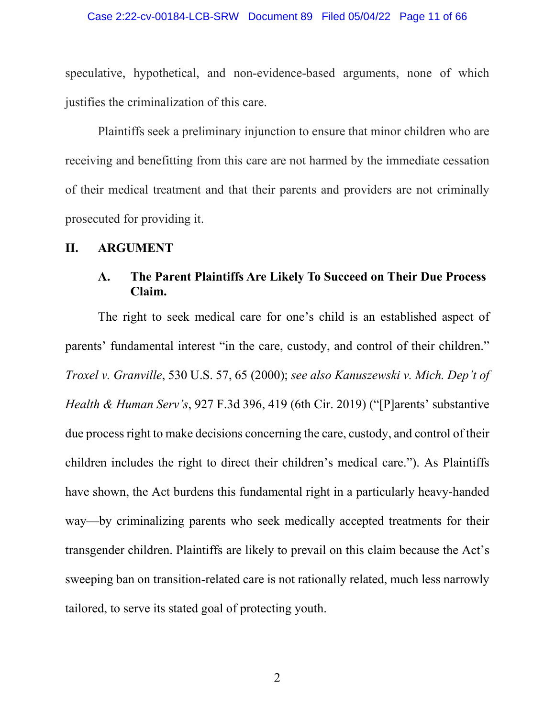#### Case 2:22-cv-00184-LCB-SRW Document 89 Filed 05/04/22 Page 11 of 66

speculative, hypothetical, and non-evidence-based arguments, none of which justifies the criminalization of this care.

Plaintiffs seek a preliminary injunction to ensure that minor children who are receiving and benefitting from this care are not harmed by the immediate cessation of their medical treatment and that their parents and providers are not criminally prosecuted for providing it.

### <span id="page-10-1"></span><span id="page-10-0"></span>**II. ARGUMENT**

# **A. The Parent Plaintiffs Are Likely To Succeed on Their Due Process Claim.**

The right to seek medical care for one's child is an established aspect of parents' fundamental interest "in the care, custody, and control of their children." *Troxel v. Granville*, 530 U.S. 57, 65 (2000); *see also Kanuszewski v. Mich. Dep't of Health & Human Serv's*, 927 F.3d 396, 419 (6th Cir. 2019) ("[P]arents' substantive due process right to make decisions concerning the care, custody, and control of their children includes the right to direct their children's medical care."). As Plaintiffs have shown, the Act burdens this fundamental right in a particularly heavy-handed way—by criminalizing parents who seek medically accepted treatments for their transgender children. Plaintiffs are likely to prevail on this claim because the Act's sweeping ban on transition-related care is not rationally related, much less narrowly tailored, to serve its stated goal of protecting youth.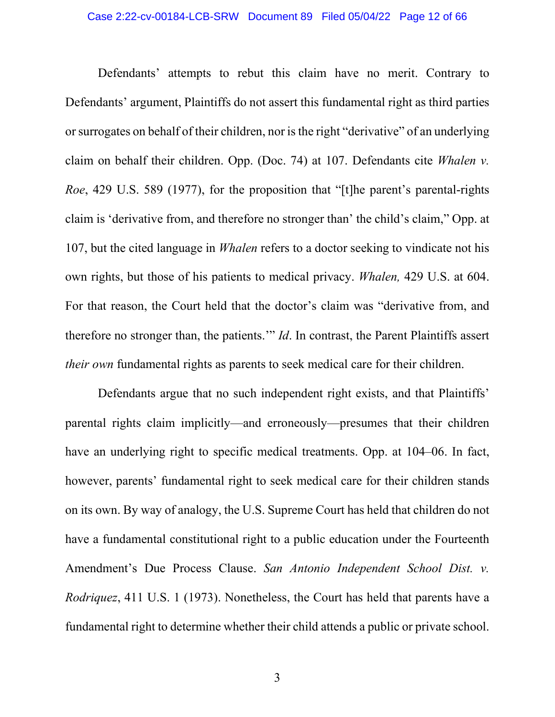Defendants' attempts to rebut this claim have no merit. Contrary to Defendants' argument, Plaintiffs do not assert this fundamental right as third parties or surrogates on behalf of their children, nor is the right "derivative" of an underlying claim on behalf their children. Opp. (Doc. 74) at 107. Defendants cite *Whalen v. Roe*, 429 U.S. 589 (1977), for the proposition that "[t]he parent's parental-rights claim is 'derivative from, and therefore no stronger than' the child's claim," Opp. at 107, but the cited language in *Whalen* refers to a doctor seeking to vindicate not his own rights, but those of his patients to medical privacy. *Whalen,* 429 U.S. at 604. For that reason, the Court held that the doctor's claim was "derivative from, and therefore no stronger than, the patients.'" *Id*. In contrast, the Parent Plaintiffs assert *their own* fundamental rights as parents to seek medical care for their children.

Defendants argue that no such independent right exists, and that Plaintiffs' parental rights claim implicitly—and erroneously—presumes that their children have an underlying right to specific medical treatments. Opp. at 104–06. In fact, however, parents' fundamental right to seek medical care for their children stands on its own. By way of analogy, the U.S. Supreme Court has held that children do not have a fundamental constitutional right to a public education under the Fourteenth Amendment's Due Process Clause. *San Antonio Independent School Dist. v. Rodriquez*, 411 U.S. 1 (1973). Nonetheless, the Court has held that parents have a fundamental right to determine whether their child attends a public or private school.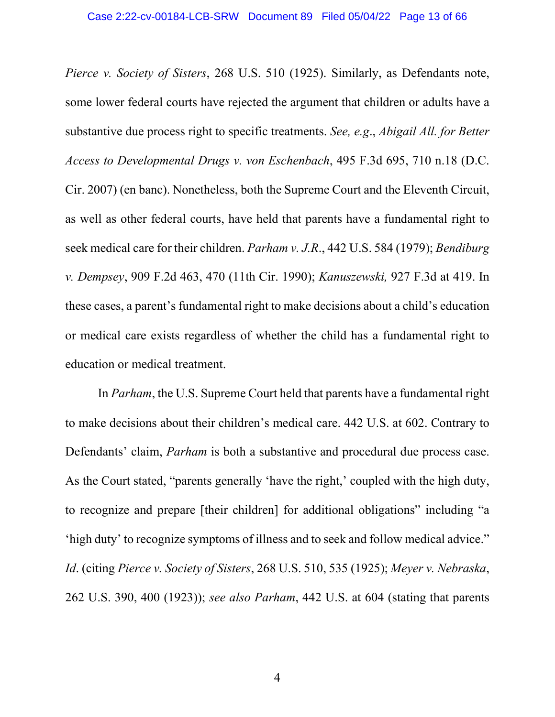*Pierce v. Society of Sisters*, 268 U.S. 510 (1925). Similarly, as Defendants note, some lower federal courts have rejected the argument that children or adults have a substantive due process right to specific treatments. *See, e.g*., *Abigail All. for Better Access to Developmental Drugs v. von Eschenbach*, 495 F.3d 695, 710 n.18 (D.C. Cir. 2007) (en banc). Nonetheless, both the Supreme Court and the Eleventh Circuit, as well as other federal courts, have held that parents have a fundamental right to seek medical care for their children. *Parham v. J.R*., 442 U.S. 584 (1979); *Bendiburg v. Dempsey*, 909 F.2d 463, 470 (11th Cir. 1990); *Kanuszewski,* 927 F.3d at 419. In these cases, a parent's fundamental right to make decisions about a child's education or medical care exists regardless of whether the child has a fundamental right to education or medical treatment.

In *Parham*, the U.S. Supreme Court held that parents have a fundamental right to make decisions about their children's medical care. 442 U.S. at 602. Contrary to Defendants' claim, *Parham* is both a substantive and procedural due process case. As the Court stated, "parents generally 'have the right,' coupled with the high duty, to recognize and prepare [their children] for additional obligations" including "a 'high duty' to recognize symptoms of illness and to seek and follow medical advice." *Id*. (citing *Pierce v. Society of Sisters*, 268 U.S. 510, 535 (1925); *Meyer v. Nebraska*, 262 U.S. 390, 400 (1923)); *see also Parham*, 442 U.S. at 604 (stating that parents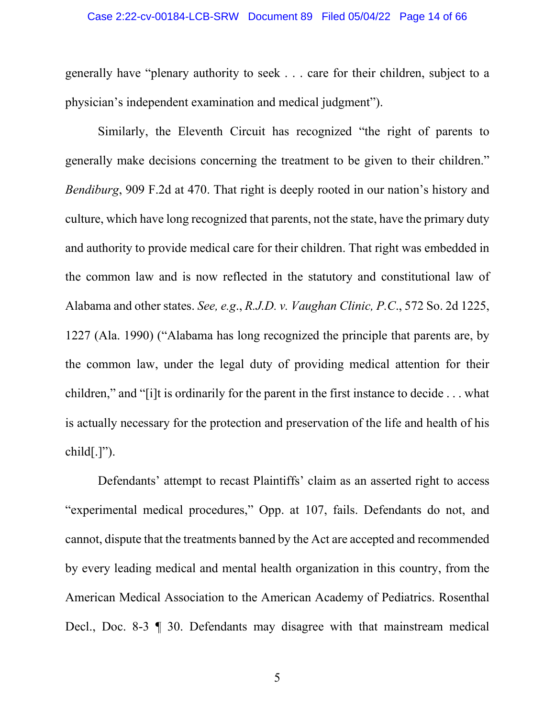#### Case 2:22-cv-00184-LCB-SRW Document 89 Filed 05/04/22 Page 14 of 66

generally have "plenary authority to seek . . . care for their children, subject to a physician's independent examination and medical judgment").

Similarly, the Eleventh Circuit has recognized "the right of parents to generally make decisions concerning the treatment to be given to their children." *Bendiburg*, 909 F.2d at 470. That right is deeply rooted in our nation's history and culture, which have long recognized that parents, not the state, have the primary duty and authority to provide medical care for their children. That right was embedded in the common law and is now reflected in the statutory and constitutional law of Alabama and other states. *See, e.g*., *R.J.D. v. Vaughan Clinic, P.C*., 572 So. 2d 1225, 1227 (Ala. 1990) ("Alabama has long recognized the principle that parents are, by the common law, under the legal duty of providing medical attention for their children," and "[i]t is ordinarily for the parent in the first instance to decide . . . what is actually necessary for the protection and preservation of the life and health of his  $child[.]$ ").

Defendants' attempt to recast Plaintiffs' claim as an asserted right to access "experimental medical procedures," Opp. at 107, fails. Defendants do not, and cannot, dispute that the treatments banned by the Act are accepted and recommended by every leading medical and mental health organization in this country, from the American Medical Association to the American Academy of Pediatrics. Rosenthal Decl., Doc. 8-3 ¶ 30. Defendants may disagree with that mainstream medical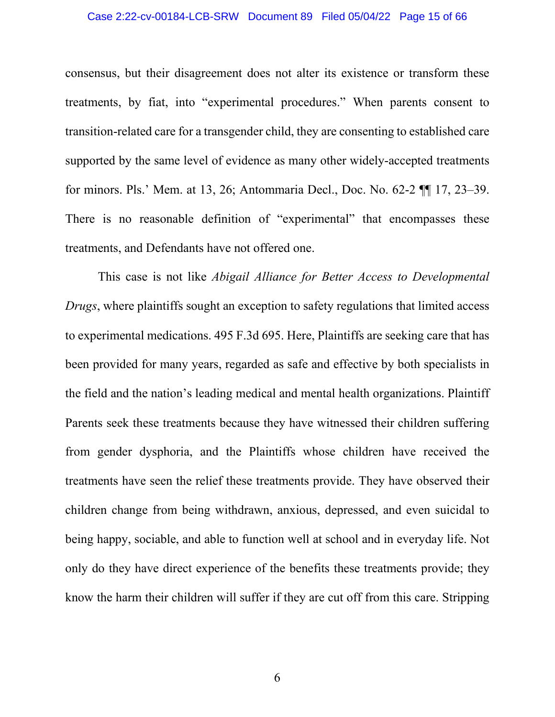#### Case 2:22-cv-00184-LCB-SRW Document 89 Filed 05/04/22 Page 15 of 66

consensus, but their disagreement does not alter its existence or transform these treatments, by fiat, into "experimental procedures." When parents consent to transition-related care for a transgender child, they are consenting to established care supported by the same level of evidence as many other widely-accepted treatments for minors. Pls.' Mem. at 13, 26; Antommaria Decl., Doc. No. 62-2 ¶¶ 17, 23–39. There is no reasonable definition of "experimental" that encompasses these treatments, and Defendants have not offered one.

This case is not like *Abigail Alliance for Better Access to Developmental Drugs*, where plaintiffs sought an exception to safety regulations that limited access to experimental medications. 495 F.3d 695. Here, Plaintiffs are seeking care that has been provided for many years, regarded as safe and effective by both specialists in the field and the nation's leading medical and mental health organizations. Plaintiff Parents seek these treatments because they have witnessed their children suffering from gender dysphoria, and the Plaintiffs whose children have received the treatments have seen the relief these treatments provide. They have observed their children change from being withdrawn, anxious, depressed, and even suicidal to being happy, sociable, and able to function well at school and in everyday life. Not only do they have direct experience of the benefits these treatments provide; they know the harm their children will suffer if they are cut off from this care. Stripping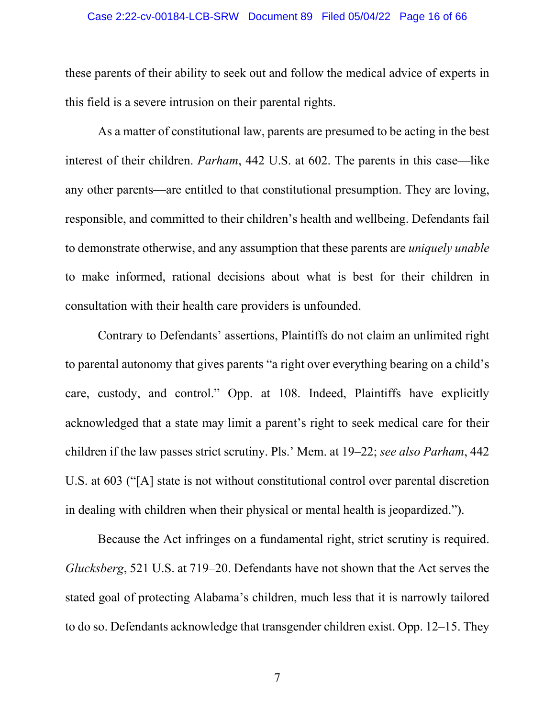#### Case 2:22-cv-00184-LCB-SRW Document 89 Filed 05/04/22 Page 16 of 66

these parents of their ability to seek out and follow the medical advice of experts in this field is a severe intrusion on their parental rights.

As a matter of constitutional law, parents are presumed to be acting in the best interest of their children. *Parham*, 442 U.S. at 602. The parents in this case—like any other parents—are entitled to that constitutional presumption. They are loving, responsible, and committed to their children's health and wellbeing. Defendants fail to demonstrate otherwise, and any assumption that these parents are *uniquely unable* to make informed, rational decisions about what is best for their children in consultation with their health care providers is unfounded.

Contrary to Defendants' assertions, Plaintiffs do not claim an unlimited right to parental autonomy that gives parents "a right over everything bearing on a child's care, custody, and control." Opp. at 108. Indeed, Plaintiffs have explicitly acknowledged that a state may limit a parent's right to seek medical care for their children if the law passes strict scrutiny. Pls.' Mem. at 19–22; *see also Parham*, 442 U.S. at 603 ("[A] state is not without constitutional control over parental discretion in dealing with children when their physical or mental health is jeopardized.").

Because the Act infringes on a fundamental right, strict scrutiny is required. *Glucksberg*, 521 U.S. at 719–20. Defendants have not shown that the Act serves the stated goal of protecting Alabama's children, much less that it is narrowly tailored to do so. Defendants acknowledge that transgender children exist. Opp. 12–15. They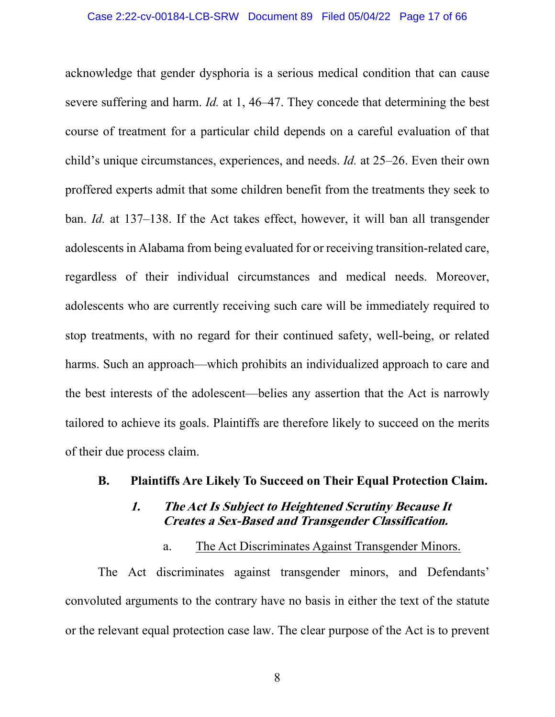acknowledge that gender dysphoria is a serious medical condition that can cause severe suffering and harm. *Id.* at 1, 46–47. They concede that determining the best course of treatment for a particular child depends on a careful evaluation of that child's unique circumstances, experiences, and needs. *Id.* at 25–26. Even their own proffered experts admit that some children benefit from the treatments they seek to ban. *Id.* at 137–138. If the Act takes effect, however, it will ban all transgender adolescents in Alabama from being evaluated for or receiving transition-related care, regardless of their individual circumstances and medical needs. Moreover, adolescents who are currently receiving such care will be immediately required to stop treatments, with no regard for their continued safety, well-being, or related harms. Such an approach—which prohibits an individualized approach to care and the best interests of the adolescent—belies any assertion that the Act is narrowly tailored to achieve its goals. Plaintiffs are therefore likely to succeed on the merits of their due process claim.

### <span id="page-16-1"></span><span id="page-16-0"></span>**B. Plaintiffs Are Likely To Succeed on Their Equal Protection Claim.**

### **1. The Act Is Subject to Heightened Scrutiny Because It Creates a Sex-Based and Transgender Classification.**

### a. The Act Discriminates Against Transgender Minors.

<span id="page-16-2"></span>The Act discriminates against transgender minors, and Defendants' convoluted arguments to the contrary have no basis in either the text of the statute or the relevant equal protection case law. The clear purpose of the Act is to prevent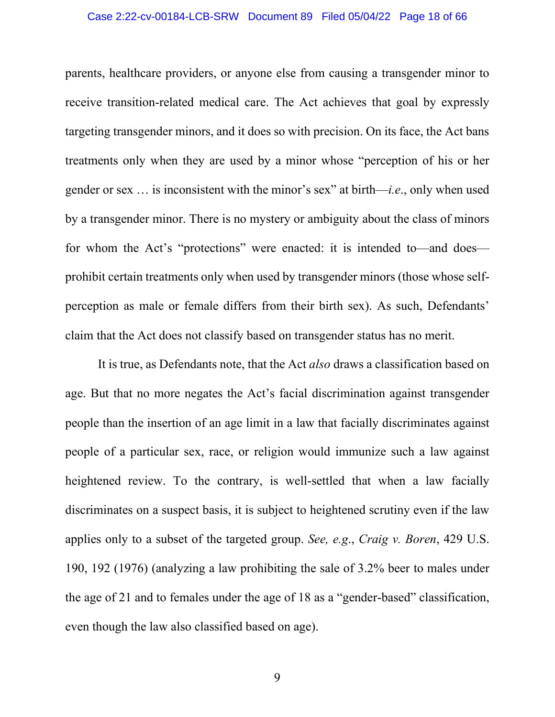#### Case 2:22-cv-00184-LCB-SRW Document 89 Filed 05/04/22 Page 18 of 66

parents, healthcare providers, or anyone else from causing a transgender minor to receive transition-related medical care. The Act achieves that goal by expressly targeting transgender minors, and it does so with precision. On its face, the Act bans treatments only when they are used by a minor whose "perception of his or her gender or sex … is inconsistent with the minor's sex" at birth—*i.e*., only when used by a transgender minor. There is no mystery or ambiguity about the class of minors for whom the Act's "protections" were enacted: it is intended to—and does prohibit certain treatments only when used by transgender minors (those whose selfperception as male or female differs from their birth sex). As such, Defendants' claim that the Act does not classify based on transgender status has no merit.

It is true, as Defendants note, that the Act *also* draws a classification based on age. But that no more negates the Act's facial discrimination against transgender people than the insertion of an age limit in a law that facially discriminates against people of a particular sex, race, or religion would immunize such a law against heightened review. To the contrary, is well-settled that when a law facially discriminates on a suspect basis, it is subject to heightened scrutiny even if the law applies only to a subset of the targeted group. *See, e.g*., *Craig v. Boren*, 429 U.S. 190, 192 (1976) (analyzing a law prohibiting the sale of 3.2% beer to males under the age of 21 and to females under the age of 18 as a "gender-based" classification, even though the law also classified based on age).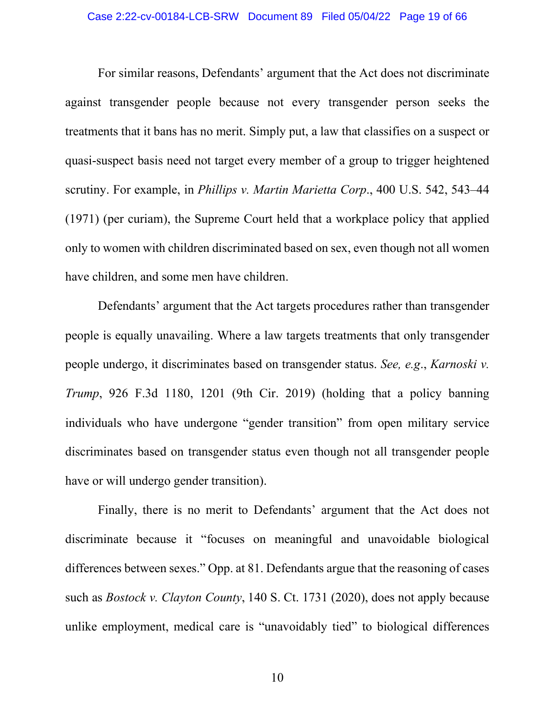For similar reasons, Defendants' argument that the Act does not discriminate against transgender people because not every transgender person seeks the treatments that it bans has no merit. Simply put, a law that classifies on a suspect or quasi-suspect basis need not target every member of a group to trigger heightened scrutiny. For example, in *Phillips v. Martin Marietta Corp*., 400 U.S. 542, 543–44 (1971) (per curiam), the Supreme Court held that a workplace policy that applied only to women with children discriminated based on sex, even though not all women have children, and some men have children.

Defendants' argument that the Act targets procedures rather than transgender people is equally unavailing. Where a law targets treatments that only transgender people undergo, it discriminates based on transgender status. *See, e.g*., *Karnoski v. Trump*, 926 F.3d 1180, 1201 (9th Cir. 2019) (holding that a policy banning individuals who have undergone "gender transition" from open military service discriminates based on transgender status even though not all transgender people have or will undergo gender transition).

Finally, there is no merit to Defendants' argument that the Act does not discriminate because it "focuses on meaningful and unavoidable biological differences between sexes." Opp. at 81. Defendants argue that the reasoning of cases such as *Bostock v. Clayton County*, 140 S. Ct. 1731 (2020), does not apply because unlike employment, medical care is "unavoidably tied" to biological differences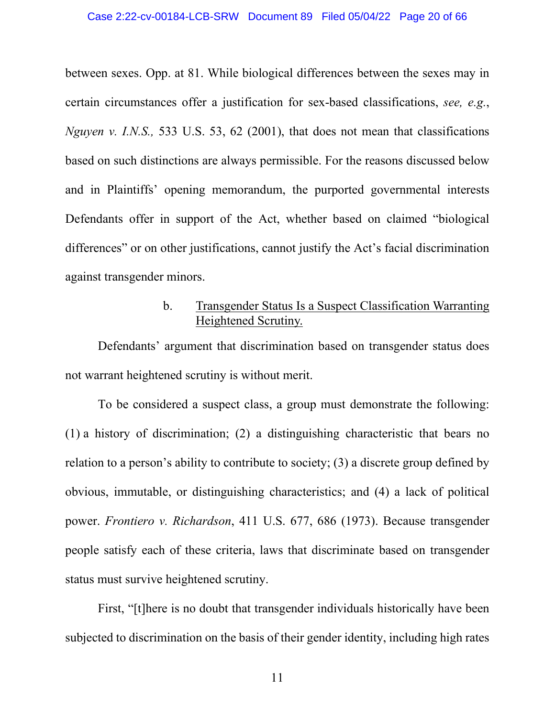between sexes. Opp. at 81. While biological differences between the sexes may in certain circumstances offer a justification for sex-based classifications, *see, e.g.*, *Nguyen v. I.N.S.,* 533 U.S. 53, 62 (2001), that does not mean that classifications based on such distinctions are always permissible. For the reasons discussed below and in Plaintiffs' opening memorandum, the purported governmental interests Defendants offer in support of the Act, whether based on claimed "biological differences" or on other justifications, cannot justify the Act's facial discrimination against transgender minors.

# b. Transgender Status Is a Suspect Classification Warranting Heightened Scrutiny.

<span id="page-19-0"></span>Defendants' argument that discrimination based on transgender status does not warrant heightened scrutiny is without merit.

To be considered a suspect class, a group must demonstrate the following: (1) a history of discrimination; (2) a distinguishing characteristic that bears no relation to a person's ability to contribute to society; (3) a discrete group defined by obvious, immutable, or distinguishing characteristics; and (4) a lack of political power. *Frontiero v. Richardson*, 411 U.S. 677, 686 (1973). Because transgender people satisfy each of these criteria, laws that discriminate based on transgender status must survive heightened scrutiny.

First, "[t]here is no doubt that transgender individuals historically have been subjected to discrimination on the basis of their gender identity, including high rates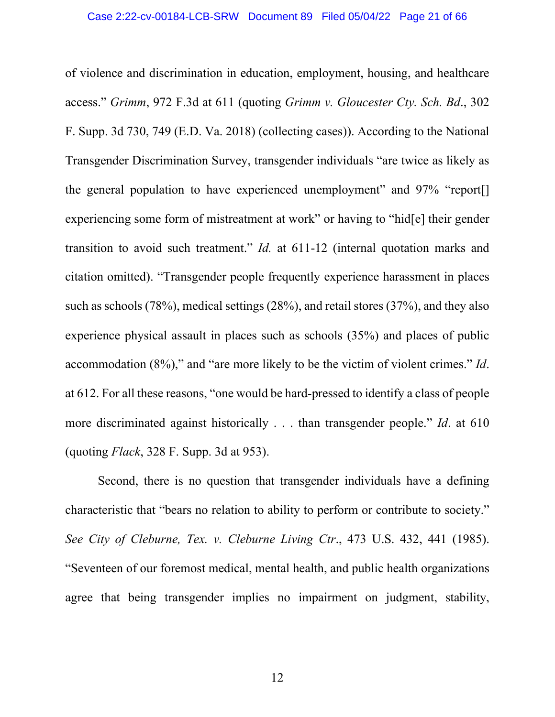of violence and discrimination in education, employment, housing, and healthcare access." *Grimm*, 972 F.3d at 611 (quoting *Grimm v. Gloucester Cty. Sch. Bd*., 302 F. Supp. 3d 730, 749 (E.D. Va. 2018) (collecting cases)). According to the National Transgender Discrimination Survey, transgender individuals "are twice as likely as the general population to have experienced unemployment" and 97% "report[] experiencing some form of mistreatment at work" or having to "hid[e] their gender transition to avoid such treatment." *Id.* at 611-12 (internal quotation marks and citation omitted). "Transgender people frequently experience harassment in places such as schools (78%), medical settings (28%), and retail stores (37%), and they also experience physical assault in places such as schools (35%) and places of public accommodation (8%)," and "are more likely to be the victim of violent crimes." *Id*. at 612. For all these reasons, "one would be hard-pressed to identify a class of people more discriminated against historically . . . than transgender people." *Id*. at 610 (quoting *Flack*, 328 F. Supp. 3d at 953).

Second, there is no question that transgender individuals have a defining characteristic that "bears no relation to ability to perform or contribute to society." *See City of Cleburne, Tex. v. Cleburne Living Ctr*., 473 U.S. 432, 441 (1985). "Seventeen of our foremost medical, mental health, and public health organizations agree that being transgender implies no impairment on judgment, stability,

12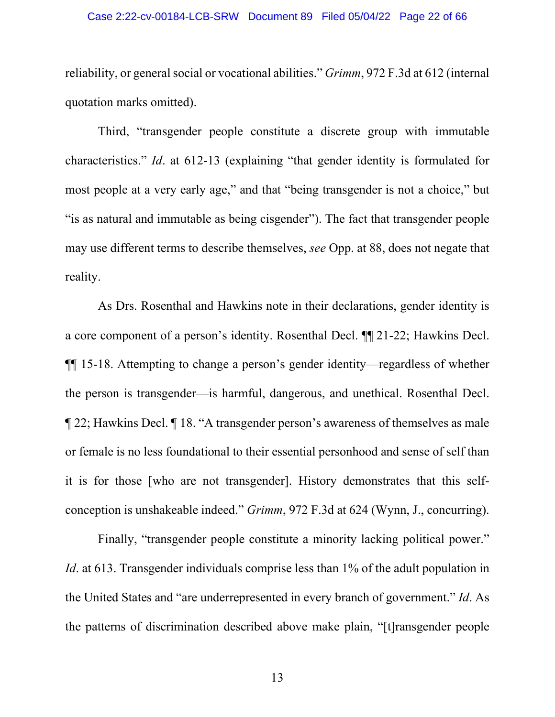#### Case 2:22-cv-00184-LCB-SRW Document 89 Filed 05/04/22 Page 22 of 66

reliability, or general social or vocational abilities." *Grimm*, 972 F.3d at 612 (internal quotation marks omitted).

Third, "transgender people constitute a discrete group with immutable characteristics." *Id*. at 612-13 (explaining "that gender identity is formulated for most people at a very early age," and that "being transgender is not a choice," but "is as natural and immutable as being cisgender"). The fact that transgender people may use different terms to describe themselves, *see* Opp. at 88, does not negate that reality.

As Drs. Rosenthal and Hawkins note in their declarations, gender identity is a core component of a person's identity. Rosenthal Decl. ¶¶ 21-22; Hawkins Decl. ¶¶ 15-18. Attempting to change a person's gender identity—regardless of whether the person is transgender—is harmful, dangerous, and unethical. Rosenthal Decl. ¶ 22; Hawkins Decl. ¶ 18. "A transgender person's awareness of themselves as male or female is no less foundational to their essential personhood and sense of self than it is for those [who are not transgender]. History demonstrates that this selfconception is unshakeable indeed." *Grimm*, 972 F.3d at 624 (Wynn, J., concurring).

Finally, "transgender people constitute a minority lacking political power." *Id.* at 613. Transgender individuals comprise less than 1% of the adult population in the United States and "are underrepresented in every branch of government." *Id*. As the patterns of discrimination described above make plain, "[t]ransgender people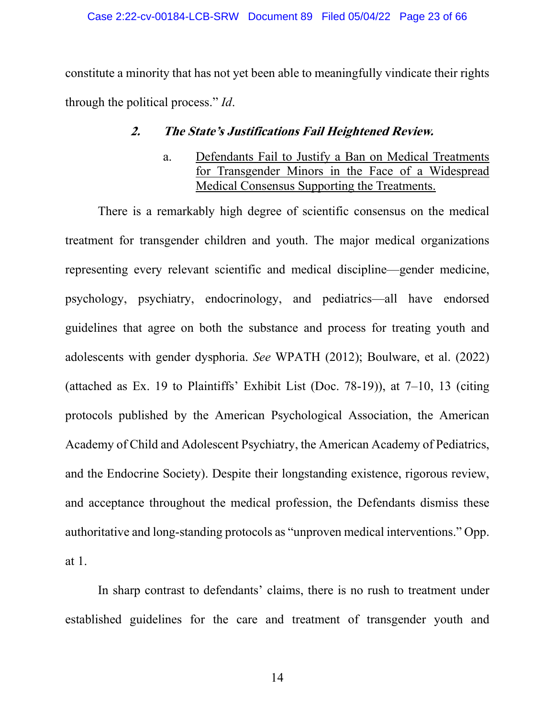<span id="page-22-0"></span>constitute a minority that has not yet been able to meaningfully vindicate their rights through the political process." *Id*.

# **2. The State's Justifications Fail Heightened Review.**

a. Defendants Fail to Justify a Ban on Medical Treatments for Transgender Minors in the Face of a Widespread Medical Consensus Supporting the Treatments.

<span id="page-22-1"></span>There is a remarkably high degree of scientific consensus on the medical treatment for transgender children and youth. The major medical organizations representing every relevant scientific and medical discipline—gender medicine, psychology, psychiatry, endocrinology, and pediatrics—all have endorsed guidelines that agree on both the substance and process for treating youth and adolescents with gender dysphoria. *See* WPATH (2012); Boulware, et al. (2022) (attached as Ex. 19 to Plaintiffs' Exhibit List (Doc. 78-19)), at 7–10, 13 (citing protocols published by the American Psychological Association, the American Academy of Child and Adolescent Psychiatry, the American Academy of Pediatrics, and the Endocrine Society). Despite their longstanding existence, rigorous review, and acceptance throughout the medical profession, the Defendants dismiss these authoritative and long-standing protocols as "unproven medical interventions." Opp. at 1.

In sharp contrast to defendants' claims, there is no rush to treatment under established guidelines for the care and treatment of transgender youth and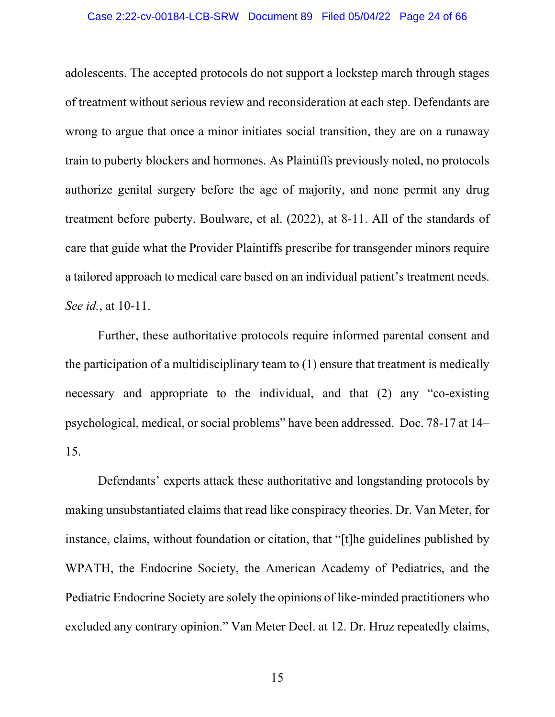#### Case 2:22-cv-00184-LCB-SRW Document 89 Filed 05/04/22 Page 24 of 66

adolescents. The accepted protocols do not support a lockstep march through stages of treatment without serious review and reconsideration at each step. Defendants are wrong to argue that once a minor initiates social transition, they are on a runaway train to puberty blockers and hormones. As Plaintiffs previously noted, no protocols authorize genital surgery before the age of majority, and none permit any drug treatment before puberty. Boulware, et al. (2022), at 8-11. All of the standards of care that guide what the Provider Plaintiffs prescribe for transgender minors require a tailored approach to medical care based on an individual patient's treatment needs. *See id.*, at 10-11.

Further, these authoritative protocols require informed parental consent and the participation of a multidisciplinary team to (1) ensure that treatment is medically necessary and appropriate to the individual, and that (2) any "co-existing psychological, medical, or social problems" have been addressed. Doc. 78-17 at 14– 15.

Defendants' experts attack these authoritative and longstanding protocols by making unsubstantiated claims that read like conspiracy theories. Dr. Van Meter, for instance, claims, without foundation or citation, that "[t]he guidelines published by WPATH, the Endocrine Society, the American Academy of Pediatrics, and the Pediatric Endocrine Society are solely the opinions of like-minded practitioners who excluded any contrary opinion." Van Meter Decl. at 12. Dr. Hruz repeatedly claims,

15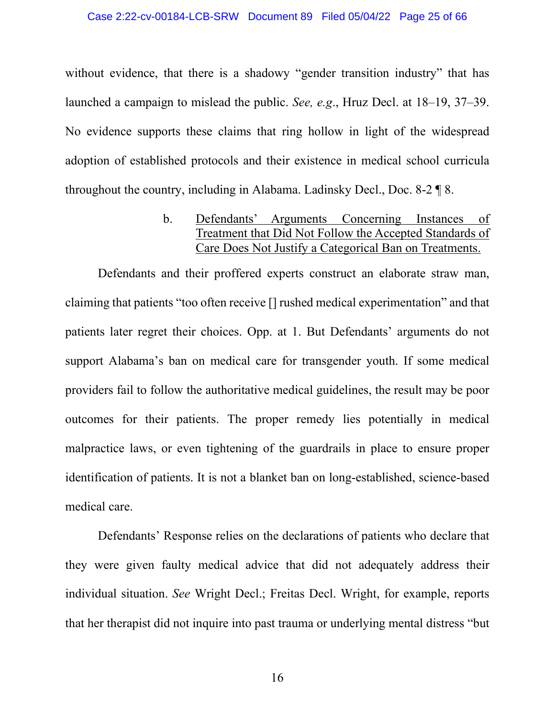#### Case 2:22-cv-00184-LCB-SRW Document 89 Filed 05/04/22 Page 25 of 66

without evidence, that there is a shadowy "gender transition industry" that has launched a campaign to mislead the public. *See, e.g*., Hruz Decl. at 18–19, 37–39. No evidence supports these claims that ring hollow in light of the widespread adoption of established protocols and their existence in medical school curricula throughout the country, including in Alabama. Ladinsky Decl., Doc. 8-2 ¶ 8.

> b. Defendants' Arguments Concerning Instances of Treatment that Did Not Follow the Accepted Standards of Care Does Not Justify a Categorical Ban on Treatments.

<span id="page-24-0"></span>Defendants and their proffered experts construct an elaborate straw man, claiming that patients "too often receive [] rushed medical experimentation" and that patients later regret their choices. Opp. at 1. But Defendants' arguments do not support Alabama's ban on medical care for transgender youth. If some medical providers fail to follow the authoritative medical guidelines, the result may be poor outcomes for their patients. The proper remedy lies potentially in medical malpractice laws, or even tightening of the guardrails in place to ensure proper identification of patients. It is not a blanket ban on long-established, science-based medical care.

Defendants' Response relies on the declarations of patients who declare that they were given faulty medical advice that did not adequately address their individual situation. *See* Wright Decl.; Freitas Decl. Wright, for example, reports that her therapist did not inquire into past trauma or underlying mental distress "but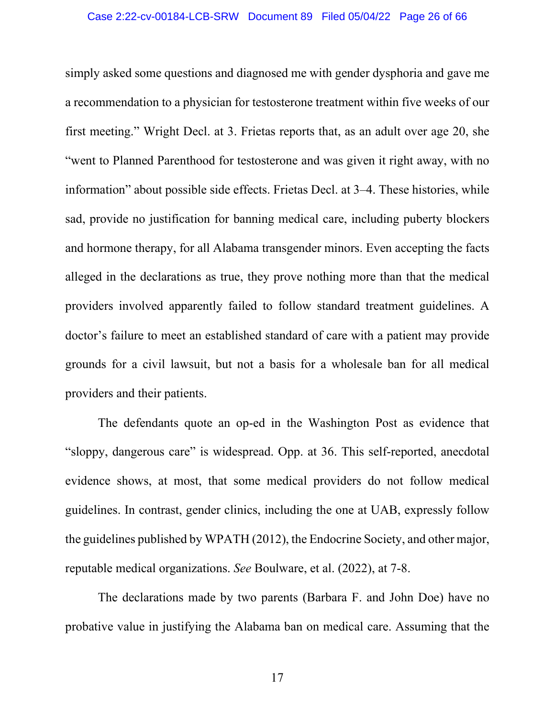simply asked some questions and diagnosed me with gender dysphoria and gave me a recommendation to a physician for testosterone treatment within five weeks of our first meeting." Wright Decl. at 3. Frietas reports that, as an adult over age 20, she "went to Planned Parenthood for testosterone and was given it right away, with no information" about possible side effects. Frietas Decl. at 3–4. These histories, while sad, provide no justification for banning medical care, including puberty blockers and hormone therapy, for all Alabama transgender minors. Even accepting the facts alleged in the declarations as true, they prove nothing more than that the medical providers involved apparently failed to follow standard treatment guidelines. A doctor's failure to meet an established standard of care with a patient may provide grounds for a civil lawsuit, but not a basis for a wholesale ban for all medical providers and their patients.

The defendants quote an op-ed in the Washington Post as evidence that "sloppy, dangerous care" is widespread. Opp. at 36. This self-reported, anecdotal evidence shows, at most, that some medical providers do not follow medical guidelines. In contrast, gender clinics, including the one at UAB, expressly follow the guidelines published by WPATH (2012), the Endocrine Society, and other major, reputable medical organizations. *See* Boulware, et al. (2022), at 7-8.

The declarations made by two parents (Barbara F. and John Doe) have no probative value in justifying the Alabama ban on medical care. Assuming that the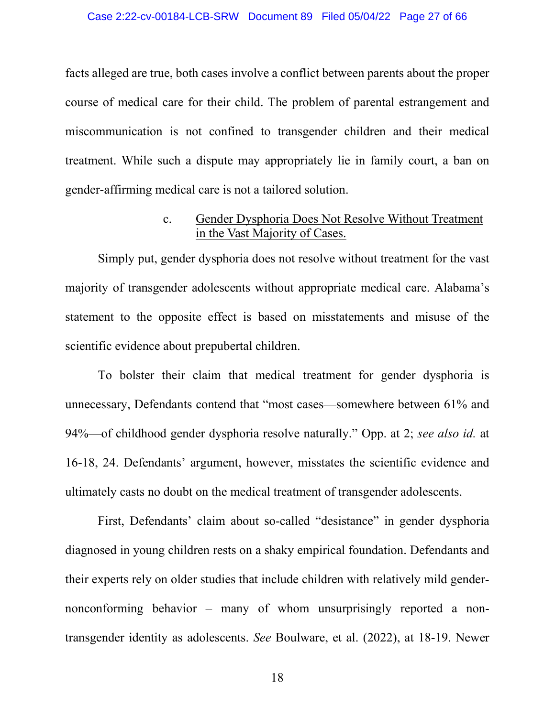#### Case 2:22-cv-00184-LCB-SRW Document 89 Filed 05/04/22 Page 27 of 66

facts alleged are true, both cases involve a conflict between parents about the proper course of medical care for their child. The problem of parental estrangement and miscommunication is not confined to transgender children and their medical treatment. While such a dispute may appropriately lie in family court, a ban on gender-affirming medical care is not a tailored solution.

### c. Gender Dysphoria Does Not Resolve Without Treatment in the Vast Majority of Cases.

<span id="page-26-0"></span>Simply put, gender dysphoria does not resolve without treatment for the vast majority of transgender adolescents without appropriate medical care. Alabama's statement to the opposite effect is based on misstatements and misuse of the scientific evidence about prepubertal children.

To bolster their claim that medical treatment for gender dysphoria is unnecessary, Defendants contend that "most cases—somewhere between 61% and 94%—of childhood gender dysphoria resolve naturally." Opp. at 2; *see also id.* at 16-18, 24. Defendants' argument, however, misstates the scientific evidence and ultimately casts no doubt on the medical treatment of transgender adolescents.

First, Defendants' claim about so-called "desistance" in gender dysphoria diagnosed in young children rests on a shaky empirical foundation. Defendants and their experts rely on older studies that include children with relatively mild gendernonconforming behavior – many of whom unsurprisingly reported a nontransgender identity as adolescents. *See* Boulware, et al. (2022), at 18-19. Newer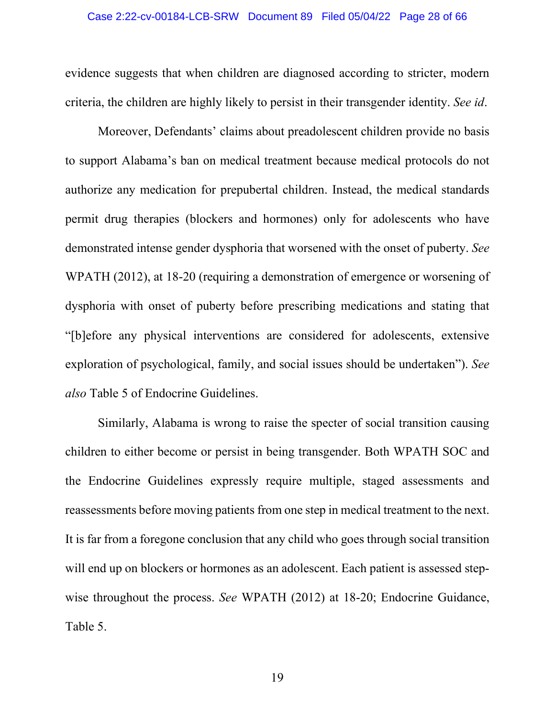evidence suggests that when children are diagnosed according to stricter, modern criteria, the children are highly likely to persist in their transgender identity. *See id*.

Moreover, Defendants' claims about preadolescent children provide no basis to support Alabama's ban on medical treatment because medical protocols do not authorize any medication for prepubertal children. Instead, the medical standards permit drug therapies (blockers and hormones) only for adolescents who have demonstrated intense gender dysphoria that worsened with the onset of puberty. *See* WPATH (2012), at 18-20 (requiring a demonstration of emergence or worsening of dysphoria with onset of puberty before prescribing medications and stating that "[b]efore any physical interventions are considered for adolescents, extensive exploration of psychological, family, and social issues should be undertaken"). *See also* Table 5 of Endocrine Guidelines.

Similarly, Alabama is wrong to raise the specter of social transition causing children to either become or persist in being transgender. Both WPATH SOC and the Endocrine Guidelines expressly require multiple, staged assessments and reassessments before moving patients from one step in medical treatment to the next. It is far from a foregone conclusion that any child who goes through social transition will end up on blockers or hormones as an adolescent. Each patient is assessed stepwise throughout the process. *See* WPATH (2012) at 18-20; Endocrine Guidance, Table 5.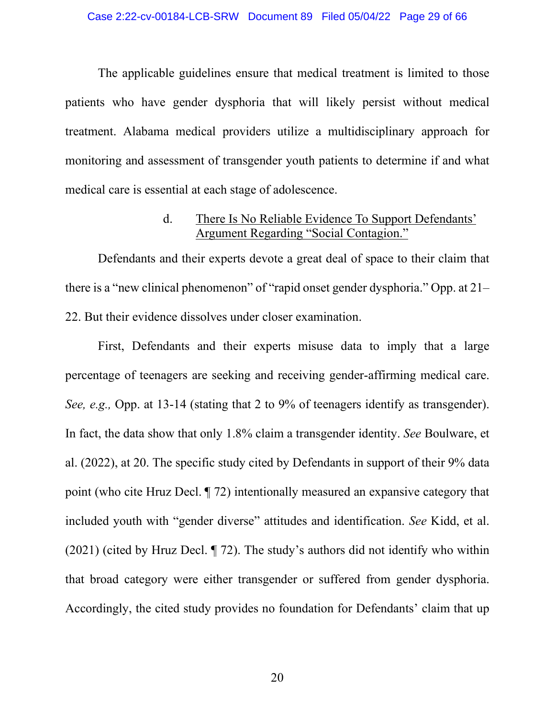The applicable guidelines ensure that medical treatment is limited to those patients who have gender dysphoria that will likely persist without medical treatment. Alabama medical providers utilize a multidisciplinary approach for monitoring and assessment of transgender youth patients to determine if and what medical care is essential at each stage of adolescence.

### d. There Is No Reliable Evidence To Support Defendants' Argument Regarding "Social Contagion."

<span id="page-28-0"></span>Defendants and their experts devote a great deal of space to their claim that there is a "new clinical phenomenon" of "rapid onset gender dysphoria." Opp. at 21– 22. But their evidence dissolves under closer examination.

First, Defendants and their experts misuse data to imply that a large percentage of teenagers are seeking and receiving gender-affirming medical care. *See, e.g.,* Opp. at 13-14 (stating that 2 to 9% of teenagers identify as transgender). In fact, the data show that only 1.8% claim a transgender identity. *See* Boulware, et al. (2022), at 20. The specific study cited by Defendants in support of their 9% data point (who cite Hruz Decl. ¶ 72) intentionally measured an expansive category that included youth with "gender diverse" attitudes and identification. *See* Kidd, et al. (2021) (cited by Hruz Decl. ¶ 72). The study's authors did not identify who within that broad category were either transgender or suffered from gender dysphoria. Accordingly, the cited study provides no foundation for Defendants' claim that up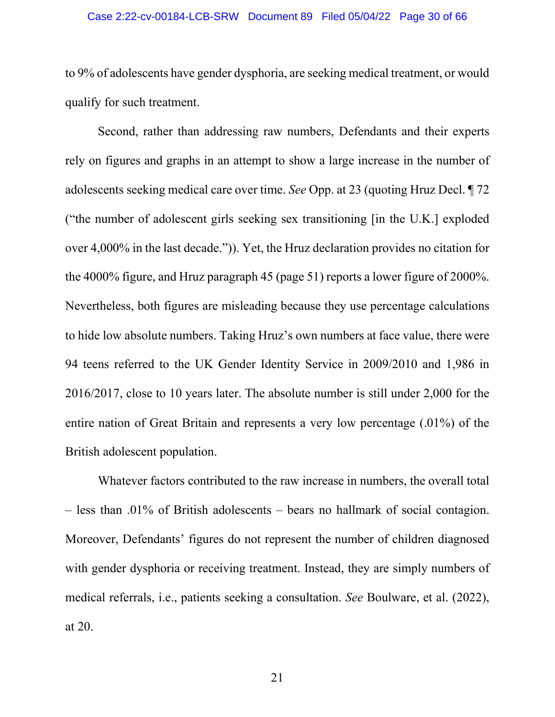#### Case 2:22-cv-00184-LCB-SRW Document 89 Filed 05/04/22 Page 30 of 66

to 9% of adolescents have gender dysphoria, are seeking medical treatment, or would qualify for such treatment.

Second, rather than addressing raw numbers, Defendants and their experts rely on figures and graphs in an attempt to show a large increase in the number of adolescents seeking medical care over time. *See* Opp. at 23 (quoting Hruz Decl. ¶ 72 ("the number of adolescent girls seeking sex transitioning [in the U.K.] exploded over 4,000% in the last decade.")). Yet, the Hruz declaration provides no citation for the 4000% figure, and Hruz paragraph 45 (page 51) reports a lower figure of 2000%. Nevertheless, both figures are misleading because they use percentage calculations to hide low absolute numbers. Taking Hruz's own numbers at face value, there were 94 teens referred to the UK Gender Identity Service in 2009/2010 and 1,986 in 2016/2017, close to 10 years later. The absolute number is still under 2,000 for the entire nation of Great Britain and represents a very low percentage (.01%) of the British adolescent population.

Whatever factors contributed to the raw increase in numbers, the overall total – less than .01% of British adolescents – bears no hallmark of social contagion. Moreover, Defendants' figures do not represent the number of children diagnosed with gender dysphoria or receiving treatment. Instead, they are simply numbers of medical referrals, i.e., patients seeking a consultation. *See* Boulware, et al. (2022), at 20.

21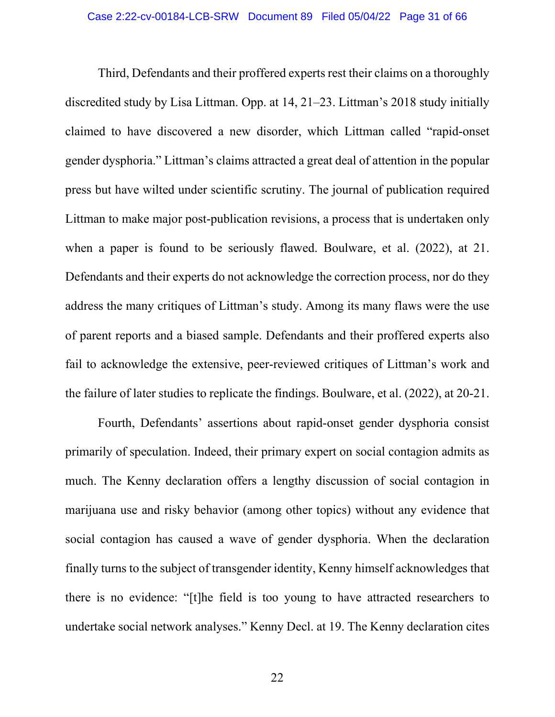Third, Defendants and their proffered experts rest their claims on a thoroughly discredited study by Lisa Littman. Opp. at 14, 21–23. Littman's 2018 study initially claimed to have discovered a new disorder, which Littman called "rapid-onset gender dysphoria." Littman's claims attracted a great deal of attention in the popular press but have wilted under scientific scrutiny. The journal of publication required Littman to make major post-publication revisions, a process that is undertaken only when a paper is found to be seriously flawed. Boulware, et al. (2022), at 21. Defendants and their experts do not acknowledge the correction process, nor do they address the many critiques of Littman's study. Among its many flaws were the use of parent reports and a biased sample. Defendants and their proffered experts also fail to acknowledge the extensive, peer-reviewed critiques of Littman's work and the failure of later studies to replicate the findings. Boulware, et al. (2022), at 20-21.

Fourth, Defendants' assertions about rapid-onset gender dysphoria consist primarily of speculation. Indeed, their primary expert on social contagion admits as much. The Kenny declaration offers a lengthy discussion of social contagion in marijuana use and risky behavior (among other topics) without any evidence that social contagion has caused a wave of gender dysphoria. When the declaration finally turns to the subject of transgender identity, Kenny himself acknowledges that there is no evidence: "[t]he field is too young to have attracted researchers to undertake social network analyses." Kenny Decl. at 19. The Kenny declaration cites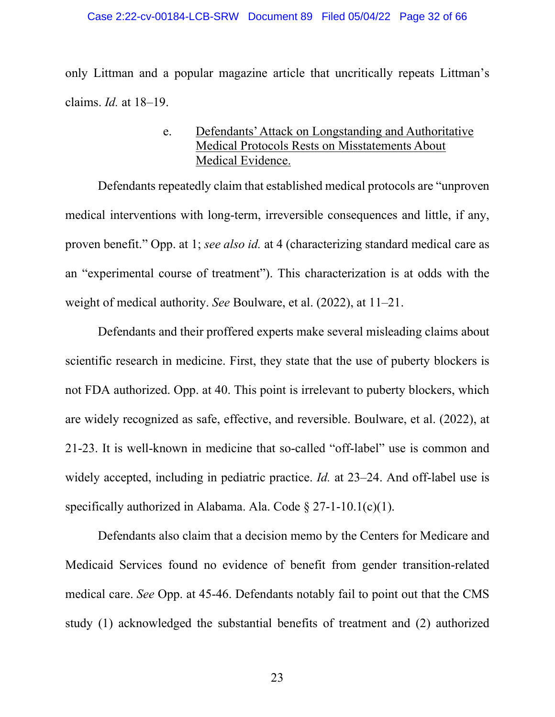<span id="page-31-0"></span>only Littman and a popular magazine article that uncritically repeats Littman's claims. *Id.* at 18–19.

## e. Defendants' Attack on Longstanding and Authoritative Medical Protocols Rests on Misstatements About Medical Evidence.

Defendants repeatedly claim that established medical protocols are "unproven medical interventions with long-term, irreversible consequences and little, if any, proven benefit." Opp. at 1; *see also id.* at 4 (characterizing standard medical care as an "experimental course of treatment"). This characterization is at odds with the weight of medical authority. *See* Boulware, et al. (2022), at 11–21.

Defendants and their proffered experts make several misleading claims about scientific research in medicine. First, they state that the use of puberty blockers is not FDA authorized. Opp. at 40. This point is irrelevant to puberty blockers, which are widely recognized as safe, effective, and reversible. Boulware, et al. (2022), at 21-23. It is well-known in medicine that so-called "off-label" use is common and widely accepted, including in pediatric practice. *Id.* at 23–24. And off-label use is specifically authorized in Alabama. Ala. Code § 27-1-10.1(c)(1).

Defendants also claim that a decision memo by the Centers for Medicare and Medicaid Services found no evidence of benefit from gender transition-related medical care. *See* Opp. at 45-46. Defendants notably fail to point out that the CMS study (1) acknowledged the substantial benefits of treatment and (2) authorized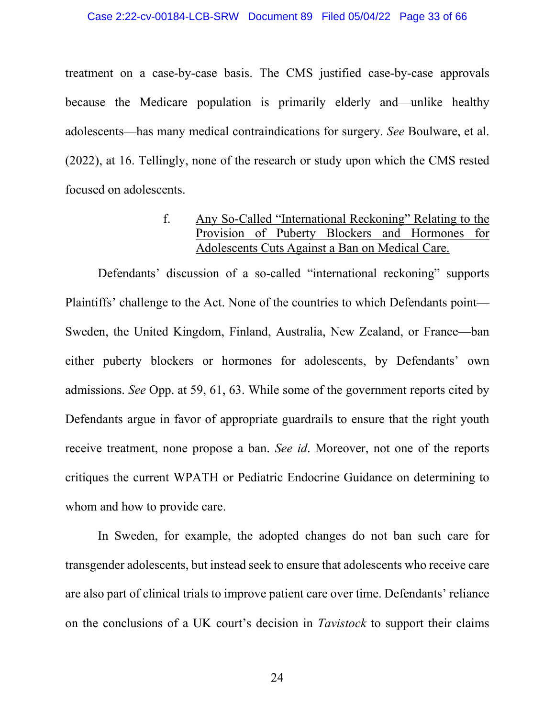#### Case 2:22-cv-00184-LCB-SRW Document 89 Filed 05/04/22 Page 33 of 66

treatment on a case-by-case basis. The CMS justified case-by-case approvals because the Medicare population is primarily elderly and—unlike healthy adolescents—has many medical contraindications for surgery. *See* Boulware, et al. (2022), at 16. Tellingly, none of the research or study upon which the CMS rested focused on adolescents.

## f. Any So-Called "International Reckoning" Relating to the Provision of Puberty Blockers and Hormones for Adolescents Cuts Against a Ban on Medical Care.

<span id="page-32-0"></span>Defendants' discussion of a so-called "international reckoning" supports Plaintiffs' challenge to the Act. None of the countries to which Defendants point— Sweden, the United Kingdom, Finland, Australia, New Zealand, or France—ban either puberty blockers or hormones for adolescents, by Defendants' own admissions. *See* Opp. at 59, 61, 63. While some of the government reports cited by Defendants argue in favor of appropriate guardrails to ensure that the right youth receive treatment, none propose a ban. *See id*. Moreover, not one of the reports critiques the current WPATH or Pediatric Endocrine Guidance on determining to whom and how to provide care.

In Sweden, for example, the adopted changes do not ban such care for transgender adolescents, but instead seek to ensure that adolescents who receive care are also part of clinical trials to improve patient care over time. Defendants' reliance on the conclusions of a UK court's decision in *Tavistock* to support their claims

24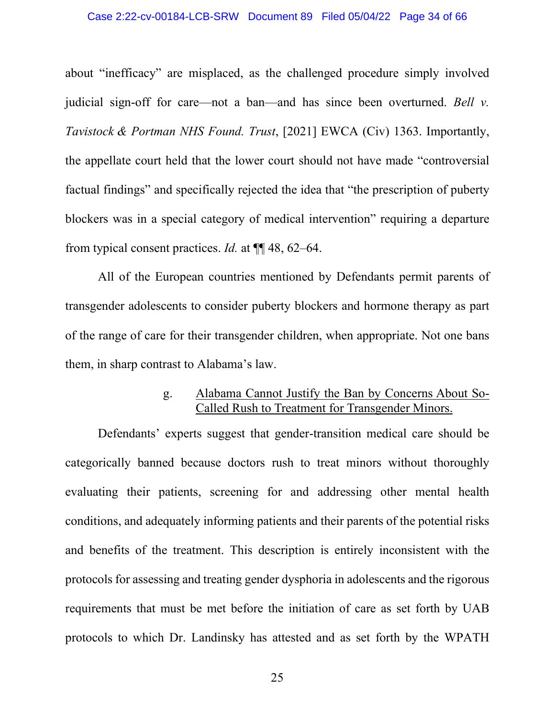#### Case 2:22-cv-00184-LCB-SRW Document 89 Filed 05/04/22 Page 34 of 66

about "inefficacy" are misplaced, as the challenged procedure simply involved judicial sign-off for care—not a ban—and has since been overturned. *Bell v. Tavistock & Portman NHS Found. Trust*, [2021] EWCA (Civ) 1363. Importantly, the appellate court held that the lower court should not have made "controversial factual findings" and specifically rejected the idea that "the prescription of puberty blockers was in a special category of medical intervention" requiring a departure from typical consent practices. *Id.* at ¶¶ 48, 62–64.

All of the European countries mentioned by Defendants permit parents of transgender adolescents to consider puberty blockers and hormone therapy as part of the range of care for their transgender children, when appropriate. Not one bans them, in sharp contrast to Alabama's law.

## g. Alabama Cannot Justify the Ban by Concerns About So-Called Rush to Treatment for Transgender Minors.

<span id="page-33-0"></span>Defendants' experts suggest that gender-transition medical care should be categorically banned because doctors rush to treat minors without thoroughly evaluating their patients, screening for and addressing other mental health conditions, and adequately informing patients and their parents of the potential risks and benefits of the treatment. This description is entirely inconsistent with the protocols for assessing and treating gender dysphoria in adolescents and the rigorous requirements that must be met before the initiation of care as set forth by UAB protocols to which Dr. Landinsky has attested and as set forth by the WPATH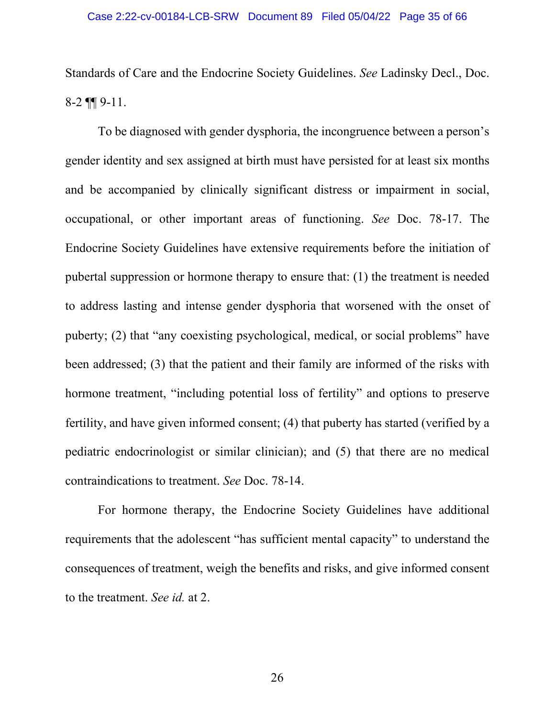Standards of Care and the Endocrine Society Guidelines. *See* Ladinsky Decl., Doc. 8-2 ¶¶ 9-11.

To be diagnosed with gender dysphoria, the incongruence between a person's gender identity and sex assigned at birth must have persisted for at least six months and be accompanied by clinically significant distress or impairment in social, occupational, or other important areas of functioning. *See* Doc. 78-17. The Endocrine Society Guidelines have extensive requirements before the initiation of pubertal suppression or hormone therapy to ensure that: (1) the treatment is needed to address lasting and intense gender dysphoria that worsened with the onset of puberty; (2) that "any coexisting psychological, medical, or social problems" have been addressed; (3) that the patient and their family are informed of the risks with hormone treatment, "including potential loss of fertility" and options to preserve fertility, and have given informed consent; (4) that puberty has started (verified by a pediatric endocrinologist or similar clinician); and (5) that there are no medical contraindications to treatment. *See* Doc. 78-14.

For hormone therapy, the Endocrine Society Guidelines have additional requirements that the adolescent "has sufficient mental capacity" to understand the consequences of treatment, weigh the benefits and risks, and give informed consent to the treatment. *See id.* at 2.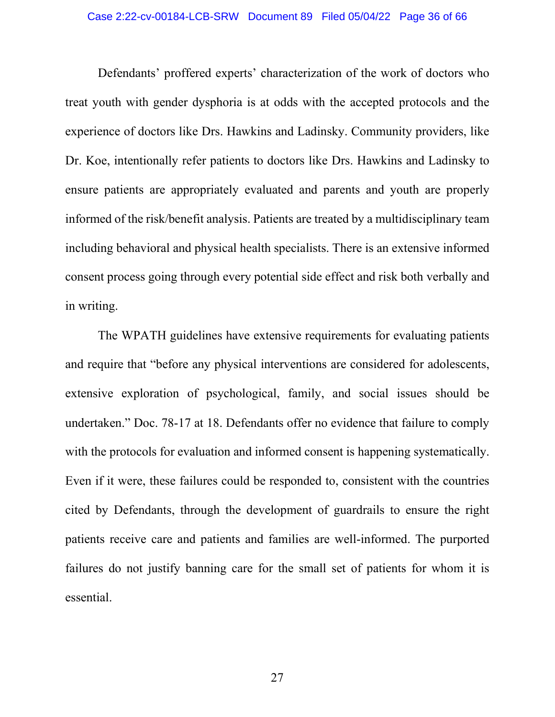Defendants' proffered experts' characterization of the work of doctors who treat youth with gender dysphoria is at odds with the accepted protocols and the experience of doctors like Drs. Hawkins and Ladinsky. Community providers, like Dr. Koe, intentionally refer patients to doctors like Drs. Hawkins and Ladinsky to ensure patients are appropriately evaluated and parents and youth are properly informed of the risk/benefit analysis. Patients are treated by a multidisciplinary team including behavioral and physical health specialists. There is an extensive informed consent process going through every potential side effect and risk both verbally and in writing.

The WPATH guidelines have extensive requirements for evaluating patients and require that "before any physical interventions are considered for adolescents, extensive exploration of psychological, family, and social issues should be undertaken." Doc. 78-17 at 18. Defendants offer no evidence that failure to comply with the protocols for evaluation and informed consent is happening systematically. Even if it were, these failures could be responded to, consistent with the countries cited by Defendants, through the development of guardrails to ensure the right patients receive care and patients and families are well-informed. The purported failures do not justify banning care for the small set of patients for whom it is essential.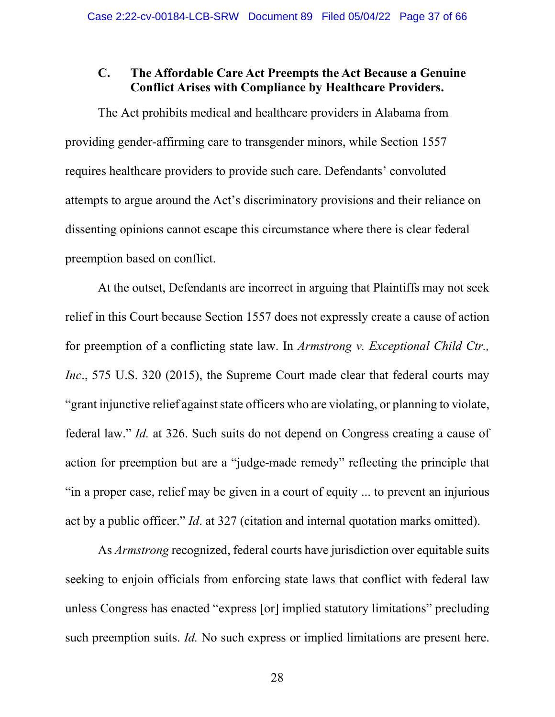## <span id="page-36-0"></span>**C. The Affordable Care Act Preempts the Act Because a Genuine Conflict Arises with Compliance by Healthcare Providers.**

The Act prohibits medical and healthcare providers in Alabama from providing gender-affirming care to transgender minors, while Section 1557 requires healthcare providers to provide such care. Defendants' convoluted attempts to argue around the Act's discriminatory provisions and their reliance on dissenting opinions cannot escape this circumstance where there is clear federal preemption based on conflict.

At the outset, Defendants are incorrect in arguing that Plaintiffs may not seek relief in this Court because Section 1557 does not expressly create a cause of action for preemption of a conflicting state law. In *Armstrong v. Exceptional Child Ctr., Inc.*, 575 U.S. 320 (2015), the Supreme Court made clear that federal courts may "grant injunctive relief against state officers who are violating, or planning to violate, federal law." *Id.* at 326. Such suits do not depend on Congress creating a cause of action for preemption but are a "judge-made remedy" reflecting the principle that "in a proper case, relief may be given in a court of equity ... to prevent an injurious act by a public officer." *Id*. at 327 (citation and internal quotation marks omitted).

As *Armstrong* recognized, federal courts have jurisdiction over equitable suits seeking to enjoin officials from enforcing state laws that conflict with federal law unless Congress has enacted "express [or] implied statutory limitations" precluding such preemption suits. *Id.* No such express or implied limitations are present here.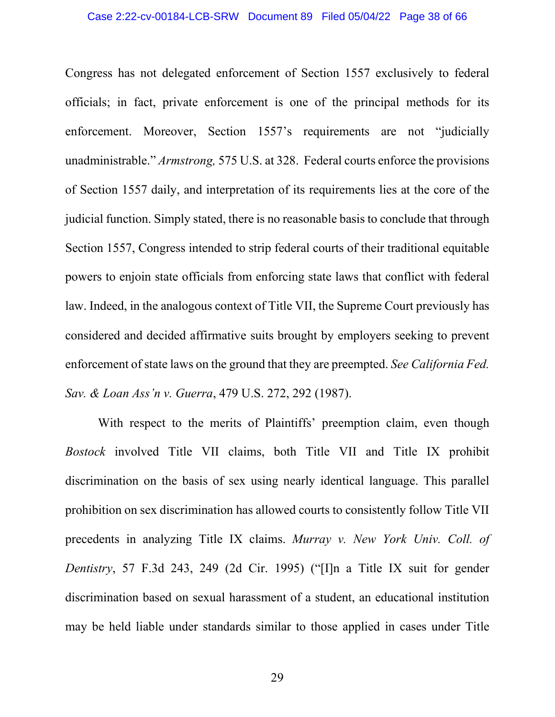Congress has not delegated enforcement of Section 1557 exclusively to federal officials; in fact, private enforcement is one of the principal methods for its enforcement. Moreover, Section 1557's requirements are not "judicially unadministrable." *Armstrong,* 575 U.S. at 328. Federal courts enforce the provisions of Section 1557 daily, and interpretation of its requirements lies at the core of the judicial function. Simply stated, there is no reasonable basis to conclude that through Section 1557, Congress intended to strip federal courts of their traditional equitable powers to enjoin state officials from enforcing state laws that conflict with federal law. Indeed, in the analogous context of Title VII, the Supreme Court previously has considered and decided affirmative suits brought by employers seeking to prevent enforcement ofstate laws on the ground that they are preempted. *See California Fed. Sav. & Loan Ass'n v. Guerra*, 479 U.S. 272, 292 (1987).

With respect to the merits of Plaintiffs' preemption claim, even though *Bostock* involved Title VII claims, both Title VII and Title IX prohibit discrimination on the basis of sex using nearly identical language. This parallel prohibition on sex discrimination has allowed courts to consistently follow Title VII precedents in analyzing Title IX claims. *Murray v. New York Univ. Coll. of Dentistry*, 57 F.3d 243, 249 (2d Cir. 1995) ("[I]n a Title IX suit for gender discrimination based on sexual harassment of a student, an educational institution may be held liable under standards similar to those applied in cases under Title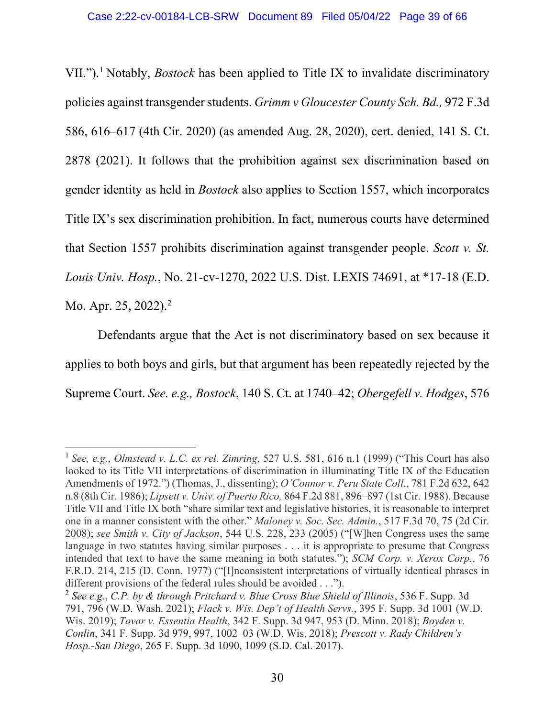VII.").[1](#page-38-0) Notably, *Bostock* has been applied to Title IX to invalidate discriminatory policies against transgender students. *Grimm v Gloucester County Sch. Bd.,* 972 F.3d 586, 616–617 (4th Cir. 2020) (as amended Aug. 28, 2020), cert. denied, 141 S. Ct. 2878 (2021). It follows that the prohibition against sex discrimination based on gender identity as held in *Bostock* also applies to Section 1557, which incorporates Title IX's sex discrimination prohibition. In fact, numerous courts have determined that Section 1557 prohibits discrimination against transgender people. *Scott v. St. Louis Univ. Hosp.*, No. 21-cv-1270, 2022 U.S. Dist. LEXIS 74691, at \*17-18 (E.D. Mo. Apr. [2](#page-38-1)5, 2022).<sup>2</sup>

Defendants argue that the Act is not discriminatory based on sex because it applies to both boys and girls, but that argument has been repeatedly rejected by the Supreme Court. *See. e.g., Bostock*, 140 S. Ct. at 1740–42; *Obergefell v. Hodges*, 576

<span id="page-38-0"></span><sup>1</sup> *See, e.g.*, *Olmstead v. L.C. ex rel. Zimring*, 527 U.S. 581, 616 n.1 (1999) ("This Court has also looked to its Title VII interpretations of discrimination in illuminating Title IX of the Education Amendments of 1972.") (Thomas, J., dissenting); *O'Connor v. Peru State Coll*., 781 F.2d 632, 642 n.8 (8th Cir. 1986); *Lipsett v. Univ. of Puerto Rico,* 864 F.2d 881, 896–897 (1st Cir. 1988). Because Title VII and Title IX both "share similar text and legislative histories, it is reasonable to interpret one in a manner consistent with the other." *Maloney v. Soc. Sec. Admin.*, 517 F.3d 70, 75 (2d Cir. 2008); *see Smith v. City of Jackson*, 544 U.S. 228, 233 (2005) ("[W]hen Congress uses the same language in two statutes having similar purposes . . . it is appropriate to presume that Congress intended that text to have the same meaning in both statutes."); *SCM Corp. v. Xerox Corp*., 76 F.R.D. 214, 215 (D. Conn. 1977) ("[I]nconsistent interpretations of virtually identical phrases in different provisions of the federal rules should be avoided . . .").

<span id="page-38-1"></span><sup>2</sup> *See e.g.*, *C.P. by & through Pritchard v. Blue Cross Blue Shield of Illinois*, 536 F. Supp. 3d 791, 796 (W.D. Wash. 2021); *Flack v. Wis. Dep't of Health Servs.*, 395 F. Supp. 3d 1001 (W.D. Wis. 2019); *Tovar v. Essentia Health*, 342 F. Supp. 3d 947, 953 (D. Minn. 2018); *Boyden v. Conlin*, 341 F. Supp. 3d 979, 997, 1002–03 (W.D. Wis. 2018); *Prescott v. Rady Children's Hosp.-San Diego*, 265 F. Supp. 3d 1090, 1099 (S.D. Cal. 2017).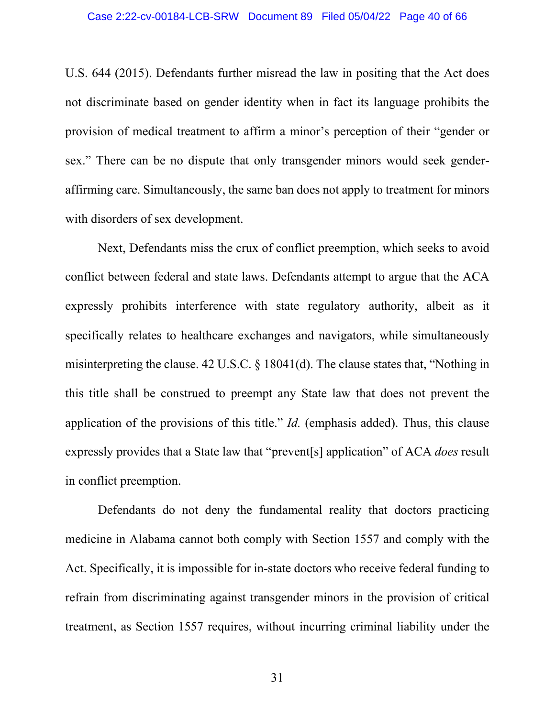U.S. 644 (2015). Defendants further misread the law in positing that the Act does not discriminate based on gender identity when in fact its language prohibits the provision of medical treatment to affirm a minor's perception of their "gender or sex." There can be no dispute that only transgender minors would seek genderaffirming care. Simultaneously, the same ban does not apply to treatment for minors with disorders of sex development.

Next, Defendants miss the crux of conflict preemption, which seeks to avoid conflict between federal and state laws. Defendants attempt to argue that the ACA expressly prohibits interference with state regulatory authority, albeit as it specifically relates to healthcare exchanges and navigators, while simultaneously misinterpreting the clause. 42 U.S.C. § 18041(d). The clause states that, "Nothing in this title shall be construed to preempt any State law that does not prevent the application of the provisions of this title." *Id.* (emphasis added). Thus, this clause expressly provides that a State law that "prevent[s] application" of ACA *does* result in conflict preemption.

Defendants do not deny the fundamental reality that doctors practicing medicine in Alabama cannot both comply with Section 1557 and comply with the Act. Specifically, it is impossible for in-state doctors who receive federal funding to refrain from discriminating against transgender minors in the provision of critical treatment, as Section 1557 requires, without incurring criminal liability under the

31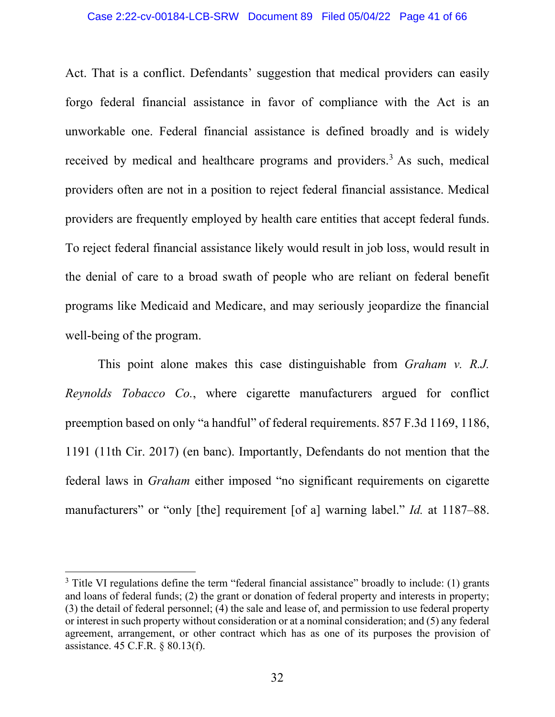#### Case 2:22-cv-00184-LCB-SRW Document 89 Filed 05/04/22 Page 41 of 66

Act. That is a conflict. Defendants' suggestion that medical providers can easily forgo federal financial assistance in favor of compliance with the Act is an unworkable one. Federal financial assistance is defined broadly and is widely received by medical and healthcare programs and providers.<sup>3</sup> As such, medical providers often are not in a position to reject federal financial assistance. Medical providers are frequently employed by health care entities that accept federal funds. To reject federal financial assistance likely would result in job loss, would result in the denial of care to a broad swath of people who are reliant on federal benefit programs like Medicaid and Medicare, and may seriously jeopardize the financial well-being of the program.

This point alone makes this case distinguishable from *Graham v. R.J. Reynolds Tobacco Co.*, where cigarette manufacturers argued for conflict preemption based on only "a handful" of federal requirements. 857 F.3d 1169, 1186, 1191 (11th Cir. 2017) (en banc). Importantly, Defendants do not mention that the federal laws in *Graham* either imposed "no significant requirements on cigarette manufacturers" or "only [the] requirement [of a] warning label." *Id.* at 1187–88.

<span id="page-40-0"></span><sup>&</sup>lt;sup>3</sup> Title VI regulations define the term "federal financial assistance" broadly to include: (1) grants and loans of federal funds; (2) the grant or donation of federal property and interests in property; (3) the detail of federal personnel; (4) the sale and lease of, and permission to use federal property or interest in such property without consideration or at a nominal consideration; and (5) any federal agreement, arrangement, or other contract which has as one of its purposes the provision of assistance. 45 C.F.R. § 80.13(f).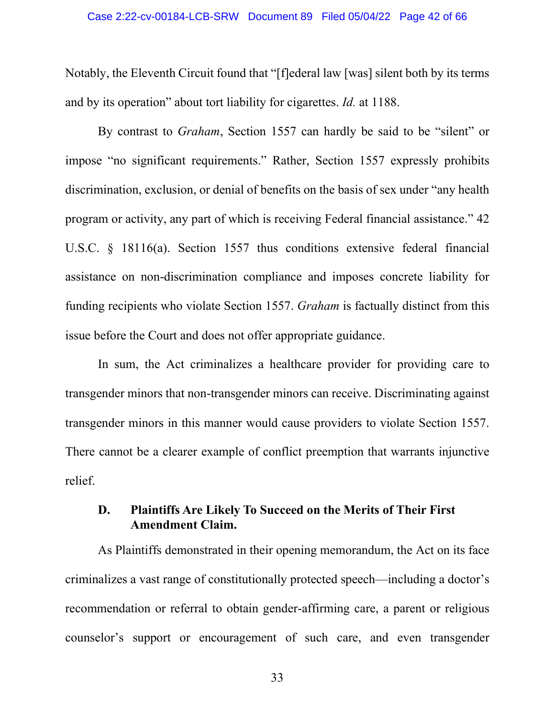#### Case 2:22-cv-00184-LCB-SRW Document 89 Filed 05/04/22 Page 42 of 66

Notably, the Eleventh Circuit found that "[f]ederal law [was] silent both by its terms and by its operation" about tort liability for cigarettes. *Id.* at 1188.

By contrast to *Graham*, Section 1557 can hardly be said to be "silent" or impose "no significant requirements." Rather, Section 1557 expressly prohibits discrimination, exclusion, or denial of benefits on the basis of sex under "any health program or activity, any part of which is receiving Federal financial assistance." 42 U.S.C. § 18116(a). Section 1557 thus conditions extensive federal financial assistance on non-discrimination compliance and imposes concrete liability for funding recipients who violate Section 1557. *Graham* is factually distinct from this issue before the Court and does not offer appropriate guidance.

In sum, the Act criminalizes a healthcare provider for providing care to transgender minors that non-transgender minors can receive. Discriminating against transgender minors in this manner would cause providers to violate Section 1557. There cannot be a clearer example of conflict preemption that warrants injunctive relief.

# <span id="page-41-0"></span>**D. Plaintiffs Are Likely To Succeed on the Merits of Their First Amendment Claim.**

As Plaintiffs demonstrated in their opening memorandum, the Act on its face criminalizes a vast range of constitutionally protected speech—including a doctor's recommendation or referral to obtain gender-affirming care, a parent or religious counselor's support or encouragement of such care, and even transgender

33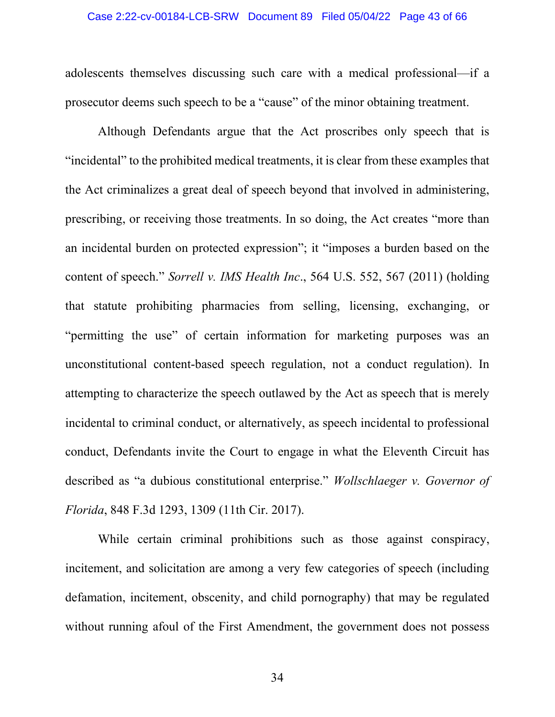#### Case 2:22-cv-00184-LCB-SRW Document 89 Filed 05/04/22 Page 43 of 66

adolescents themselves discussing such care with a medical professional—if a prosecutor deems such speech to be a "cause" of the minor obtaining treatment.

Although Defendants argue that the Act proscribes only speech that is "incidental" to the prohibited medical treatments, it is clear from these examples that the Act criminalizes a great deal of speech beyond that involved in administering, prescribing, or receiving those treatments. In so doing, the Act creates "more than an incidental burden on protected expression"; it "imposes a burden based on the content of speech." *Sorrell v. IMS Health Inc*., 564 U.S. 552, 567 (2011) (holding that statute prohibiting pharmacies from selling, licensing, exchanging, or "permitting the use" of certain information for marketing purposes was an unconstitutional content-based speech regulation, not a conduct regulation). In attempting to characterize the speech outlawed by the Act as speech that is merely incidental to criminal conduct, or alternatively, as speech incidental to professional conduct, Defendants invite the Court to engage in what the Eleventh Circuit has described as "a dubious constitutional enterprise." *Wollschlaeger v. Governor of Florida*, 848 F.3d 1293, 1309 (11th Cir. 2017).

While certain criminal prohibitions such as those against conspiracy, incitement, and solicitation are among a very few categories of speech (including defamation, incitement, obscenity, and child pornography) that may be regulated without running afoul of the First Amendment, the government does not possess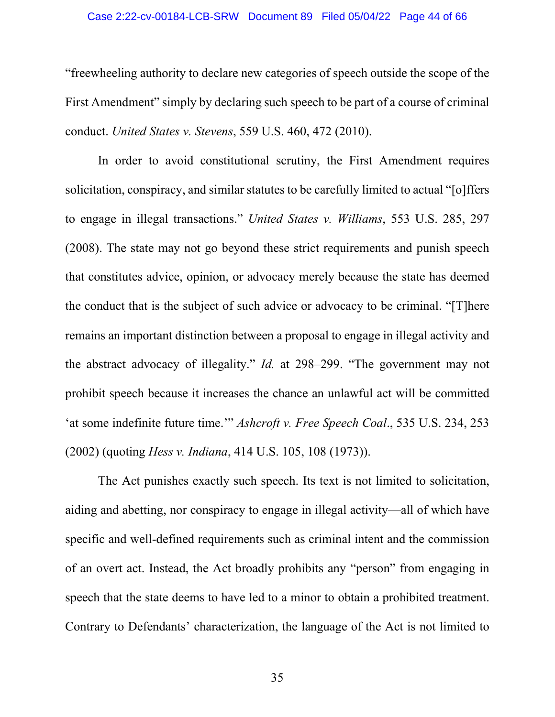#### Case 2:22-cv-00184-LCB-SRW Document 89 Filed 05/04/22 Page 44 of 66

"freewheeling authority to declare new categories of speech outside the scope of the First Amendment" simply by declaring such speech to be part of a course of criminal conduct. *United States v. Stevens*, 559 U.S. 460, 472 (2010).

In order to avoid constitutional scrutiny, the First Amendment requires solicitation, conspiracy, and similar statutes to be carefully limited to actual "[o]ffers to engage in illegal transactions." *United States v. Williams*, 553 U.S. 285, 297 (2008). The state may not go beyond these strict requirements and punish speech that constitutes advice, opinion, or advocacy merely because the state has deemed the conduct that is the subject of such advice or advocacy to be criminal. "[T]here remains an important distinction between a proposal to engage in illegal activity and the abstract advocacy of illegality." *Id.* at 298–299. "The government may not prohibit speech because it increases the chance an unlawful act will be committed 'at some indefinite future time.'" *Ashcroft v. Free Speech Coal*., 535 U.S. 234, 253 (2002) (quoting *Hess v. Indiana*, 414 U.S. 105, 108 (1973)).

The Act punishes exactly such speech. Its text is not limited to solicitation, aiding and abetting, nor conspiracy to engage in illegal activity—all of which have specific and well-defined requirements such as criminal intent and the commission of an overt act. Instead, the Act broadly prohibits any "person" from engaging in speech that the state deems to have led to a minor to obtain a prohibited treatment. Contrary to Defendants' characterization, the language of the Act is not limited to

35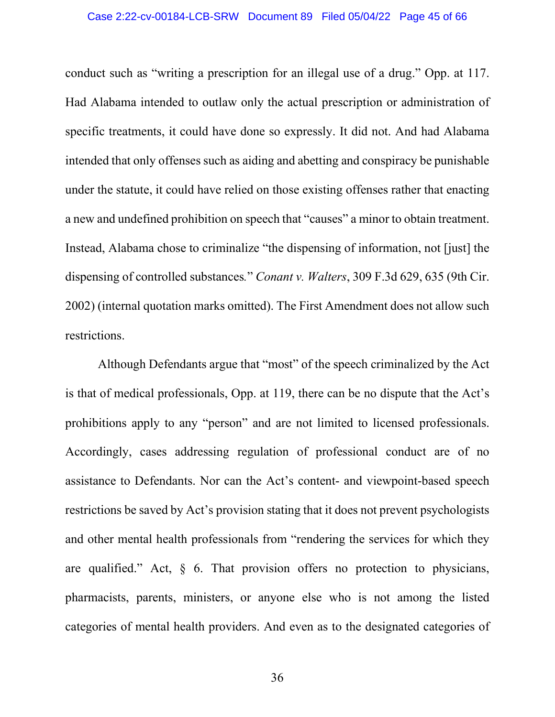#### Case 2:22-cv-00184-LCB-SRW Document 89 Filed 05/04/22 Page 45 of 66

conduct such as "writing a prescription for an illegal use of a drug." Opp. at 117. Had Alabama intended to outlaw only the actual prescription or administration of specific treatments, it could have done so expressly. It did not. And had Alabama intended that only offenses such as aiding and abetting and conspiracy be punishable under the statute, it could have relied on those existing offenses rather that enacting a new and undefined prohibition on speech that "causes" a minor to obtain treatment. Instead, Alabama chose to criminalize "the dispensing of information, not [just] the dispensing of controlled substances*.*" *Conant v. Walters*, 309 F.3d 629, 635 (9th Cir. 2002) (internal quotation marks omitted). The First Amendment does not allow such restrictions.

Although Defendants argue that "most" of the speech criminalized by the Act is that of medical professionals, Opp. at 119, there can be no dispute that the Act's prohibitions apply to any "person" and are not limited to licensed professionals. Accordingly, cases addressing regulation of professional conduct are of no assistance to Defendants. Nor can the Act's content- and viewpoint-based speech restrictions be saved by Act's provision stating that it does not prevent psychologists and other mental health professionals from "rendering the services for which they are qualified." Act,  $\delta$  6. That provision offers no protection to physicians, pharmacists, parents, ministers, or anyone else who is not among the listed categories of mental health providers. And even as to the designated categories of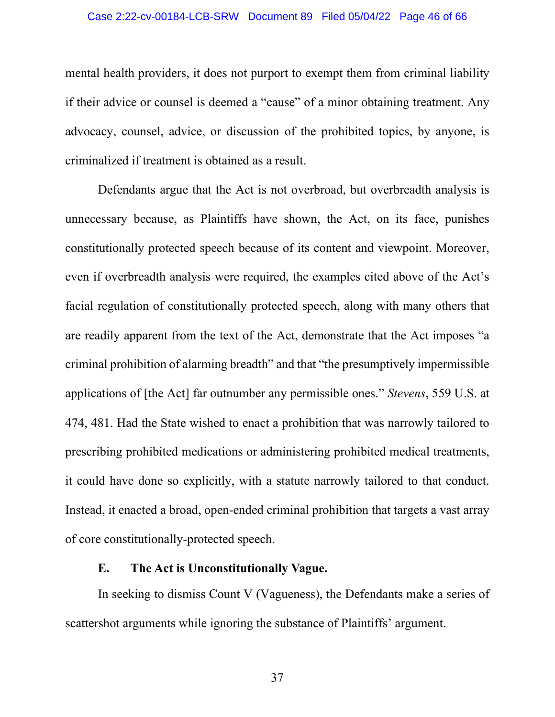#### Case 2:22-cv-00184-LCB-SRW Document 89 Filed 05/04/22 Page 46 of 66

mental health providers, it does not purport to exempt them from criminal liability if their advice or counsel is deemed a "cause" of a minor obtaining treatment. Any advocacy, counsel, advice, or discussion of the prohibited topics, by anyone, is criminalized if treatment is obtained as a result.

Defendants argue that the Act is not overbroad, but overbreadth analysis is unnecessary because, as Plaintiffs have shown, the Act, on its face, punishes constitutionally protected speech because of its content and viewpoint. Moreover, even if overbreadth analysis were required, the examples cited above of the Act's facial regulation of constitutionally protected speech, along with many others that are readily apparent from the text of the Act, demonstrate that the Act imposes "a criminal prohibition of alarming breadth" and that "the presumptively impermissible applications of [the Act] far outnumber any permissible ones." *Stevens*, 559 U.S. at 474, 481. Had the State wished to enact a prohibition that was narrowly tailored to prescribing prohibited medications or administering prohibited medical treatments, it could have done so explicitly, with a statute narrowly tailored to that conduct. Instead, it enacted a broad, open-ended criminal prohibition that targets a vast array of core constitutionally-protected speech.

### **E. The Act is Unconstitutionally Vague.**

<span id="page-45-0"></span>In seeking to dismiss Count V (Vagueness), the Defendants make a series of scattershot arguments while ignoring the substance of Plaintiffs' argument.

37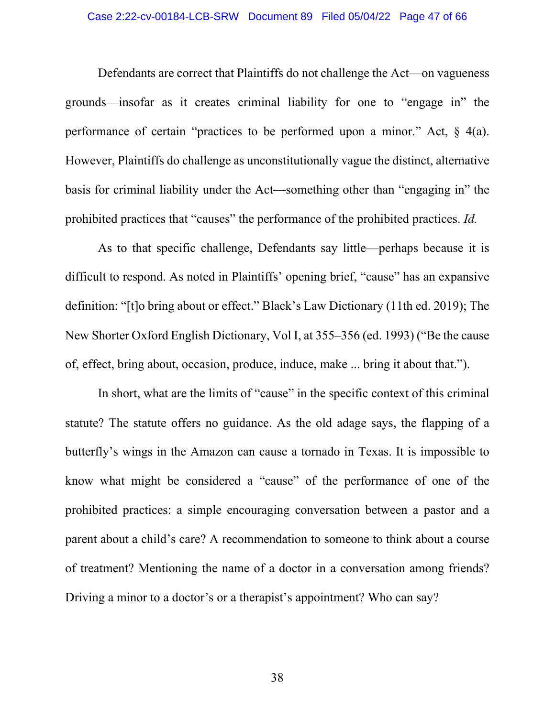#### Case 2:22-cv-00184-LCB-SRW Document 89 Filed 05/04/22 Page 47 of 66

Defendants are correct that Plaintiffs do not challenge the Act—on vagueness grounds—insofar as it creates criminal liability for one to "engage in" the performance of certain "practices to be performed upon a minor." Act, § 4(a). However, Plaintiffs do challenge as unconstitutionally vague the distinct, alternative basis for criminal liability under the Act—something other than "engaging in" the prohibited practices that "causes" the performance of the prohibited practices. *Id.*

As to that specific challenge, Defendants say little—perhaps because it is difficult to respond. As noted in Plaintiffs' opening brief, "cause" has an expansive definition: "[t]o bring about or effect." Black's Law Dictionary (11th ed. 2019); The New Shorter Oxford English Dictionary, Vol I, at 355–356 (ed. 1993) ("Be the cause of, effect, bring about, occasion, produce, induce, make ... bring it about that.").

In short, what are the limits of "cause" in the specific context of this criminal statute? The statute offers no guidance. As the old adage says, the flapping of a butterfly's wings in the Amazon can cause a tornado in Texas. It is impossible to know what might be considered a "cause" of the performance of one of the prohibited practices: a simple encouraging conversation between a pastor and a parent about a child's care? A recommendation to someone to think about a course of treatment? Mentioning the name of a doctor in a conversation among friends? Driving a minor to a doctor's or a therapist's appointment? Who can say?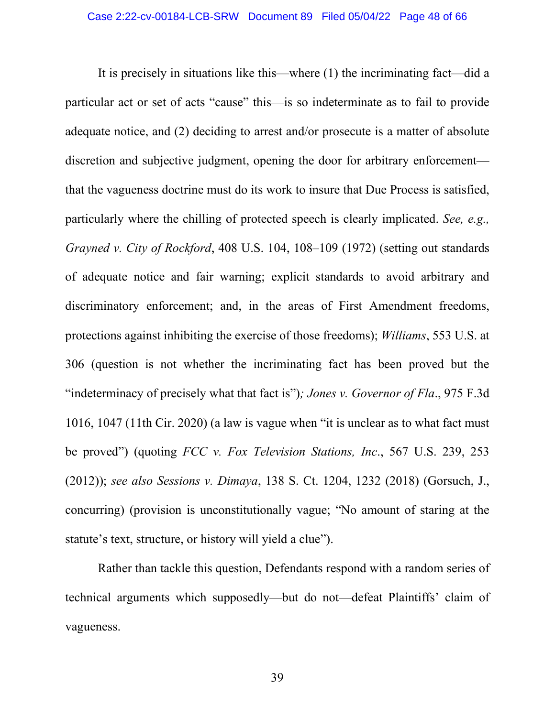It is precisely in situations like this—where (1) the incriminating fact—did a particular act or set of acts "cause" this—is so indeterminate as to fail to provide adequate notice, and (2) deciding to arrest and/or prosecute is a matter of absolute discretion and subjective judgment, opening the door for arbitrary enforcement that the vagueness doctrine must do its work to insure that Due Process is satisfied, particularly where the chilling of protected speech is clearly implicated. *See, e.g., Grayned v. City of Rockford*, 408 U.S. 104, 108–109 (1972) (setting out standards of adequate notice and fair warning; explicit standards to avoid arbitrary and discriminatory enforcement; and, in the areas of First Amendment freedoms, protections against inhibiting the exercise of those freedoms); *Williams*, 553 U.S. at 306 (question is not whether the incriminating fact has been proved but the "indeterminacy of precisely what that fact is")*; Jones v. Governor of Fla*., 975 F.3d 1016, 1047 (11th Cir. 2020) (a law is vague when "it is unclear as to what fact must be proved") (quoting *FCC v. Fox Television Stations, Inc*., 567 U.S. 239, 253 (2012)); *see also Sessions v. Dimaya*, 138 S. Ct. 1204, 1232 (2018) (Gorsuch, J., concurring) (provision is unconstitutionally vague; "No amount of staring at the statute's text, structure, or history will yield a clue").

Rather than tackle this question, Defendants respond with a random series of technical arguments which supposedly—but do not—defeat Plaintiffs' claim of vagueness.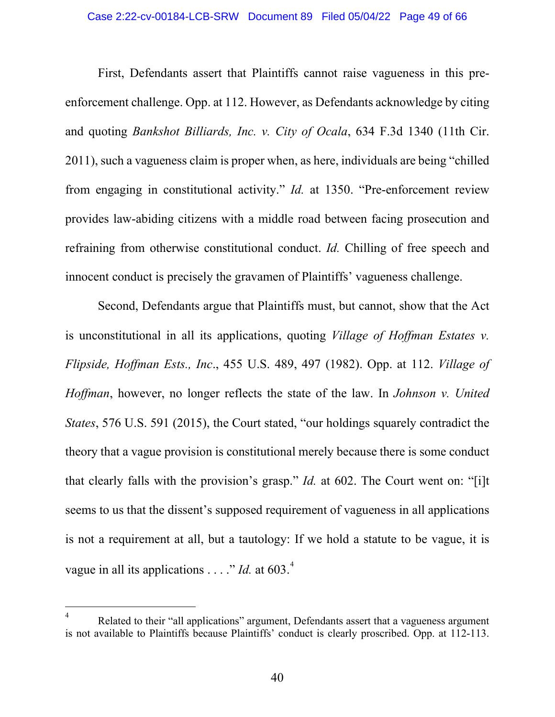#### Case 2:22-cv-00184-LCB-SRW Document 89 Filed 05/04/22 Page 49 of 66

First, Defendants assert that Plaintiffs cannot raise vagueness in this preenforcement challenge. Opp. at 112. However, as Defendants acknowledge by citing and quoting *Bankshot Billiards, Inc. v. City of Ocala*, 634 F.3d 1340 (11th Cir. 2011), such a vagueness claim is proper when, as here, individuals are being "chilled from engaging in constitutional activity." *Id.* at 1350. "Pre-enforcement review provides law-abiding citizens with a middle road between facing prosecution and refraining from otherwise constitutional conduct. *Id.* Chilling of free speech and innocent conduct is precisely the gravamen of Plaintiffs' vagueness challenge.

Second, Defendants argue that Plaintiffs must, but cannot, show that the Act is unconstitutional in all its applications, quoting *Village of Hoffman Estates v. Flipside, Hoffman Ests., Inc*., 455 U.S. 489, 497 (1982). Opp. at 112. *Village of Hoffman*, however, no longer reflects the state of the law. In *Johnson v. United States*, 576 U.S. 591 (2015), the Court stated, "our holdings squarely contradict the theory that a vague provision is constitutional merely because there is some conduct that clearly falls with the provision's grasp." *Id.* at 602. The Court went on: "[i]t seems to us that the dissent's supposed requirement of vagueness in all applications is not a requirement at all, but a tautology: If we hold a statute to be vague, it is vague in all its applications . . . ." *Id*. at 603.<sup>[4](#page-48-0)</sup>

<span id="page-48-0"></span>Related to their "all applications" argument, Defendants assert that a vagueness argument is not available to Plaintiffs because Plaintiffs' conduct is clearly proscribed. Opp. at 112-113.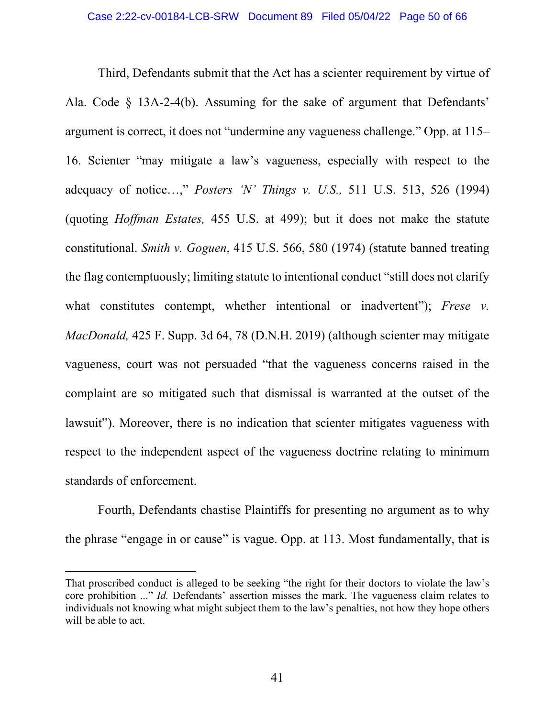Third, Defendants submit that the Act has a scienter requirement by virtue of Ala. Code § 13A-2-4(b). Assuming for the sake of argument that Defendants' argument is correct, it does not "undermine any vagueness challenge." Opp. at 115– 16. Scienter "may mitigate a law's vagueness, especially with respect to the adequacy of notice…," *Posters 'N' Things v. U.S.,* 511 U.S. 513, 526 (1994) (quoting *Hoffman Estates,* 455 U.S. at 499); but it does not make the statute constitutional. *Smith v. Goguen*, 415 U.S. 566, 580 (1974) (statute banned treating the flag contemptuously; limiting statute to intentional conduct "still does not clarify what constitutes contempt, whether intentional or inadvertent"); *Frese v. MacDonald,* 425 F. Supp. 3d 64, 78 (D.N.H. 2019) (although scienter may mitigate vagueness, court was not persuaded "that the vagueness concerns raised in the complaint are so mitigated such that dismissal is warranted at the outset of the lawsuit"). Moreover, there is no indication that scienter mitigates vagueness with respect to the independent aspect of the vagueness doctrine relating to minimum standards of enforcement.

Fourth, Defendants chastise Plaintiffs for presenting no argument as to why the phrase "engage in or cause" is vague. Opp. at 113. Most fundamentally, that is

That proscribed conduct is alleged to be seeking "the right for their doctors to violate the law's core prohibition ..." *Id.* Defendants' assertion misses the mark. The vagueness claim relates to individuals not knowing what might subject them to the law's penalties, not how they hope others will be able to act.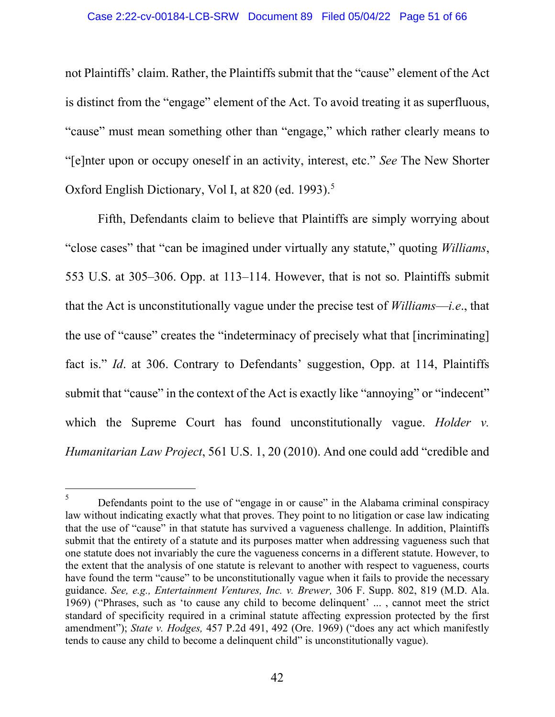#### Case 2:22-cv-00184-LCB-SRW Document 89 Filed 05/04/22 Page 51 of 66

not Plaintiffs' claim. Rather, the Plaintiffs submit that the "cause" element of the Act is distinct from the "engage" element of the Act. To avoid treating it as superfluous, "cause" must mean something other than "engage," which rather clearly means to "[e]nter upon or occupy oneself in an activity, interest, etc." *See* The New Shorter Oxford English Dictionary, Vol I, at 820 (ed. 1993).<sup>[5](#page-50-0)</sup>

Fifth, Defendants claim to believe that Plaintiffs are simply worrying about "close cases" that "can be imagined under virtually any statute," quoting *Williams*, 553 U.S. at 305–306. Opp. at 113–114. However, that is not so. Plaintiffs submit that the Act is unconstitutionally vague under the precise test of *Williams*—*i.e*., that the use of "cause" creates the "indeterminacy of precisely what that [incriminating] fact is." *Id*. at 306. Contrary to Defendants' suggestion, Opp. at 114, Plaintiffs submit that "cause" in the context of the Act is exactly like "annoying" or "indecent" which the Supreme Court has found unconstitutionally vague. *Holder v. Humanitarian Law Project*, 561 U.S. 1, 20 (2010). And one could add "credible and

<span id="page-50-0"></span><sup>&</sup>lt;sup>5</sup> Defendants point to the use of "engage in or cause" in the Alabama criminal conspiracy law without indicating exactly what that proves. They point to no litigation or case law indicating that the use of "cause" in that statute has survived a vagueness challenge. In addition, Plaintiffs submit that the entirety of a statute and its purposes matter when addressing vagueness such that one statute does not invariably the cure the vagueness concerns in a different statute. However, to the extent that the analysis of one statute is relevant to another with respect to vagueness, courts have found the term "cause" to be unconstitutionally vague when it fails to provide the necessary guidance. *See, e.g., Entertainment Ventures, Inc. v. Brewer,* 306 F. Supp. 802, 819 (M.D. Ala. 1969) ("Phrases, such as 'to cause any child to become delinquent' ... , cannot meet the strict standard of specificity required in a criminal statute affecting expression protected by the first amendment"); *State v. Hodges,* 457 P.2d 491, 492 (Ore. 1969) ("does any act which manifestly tends to cause any child to become a delinquent child" is unconstitutionally vague).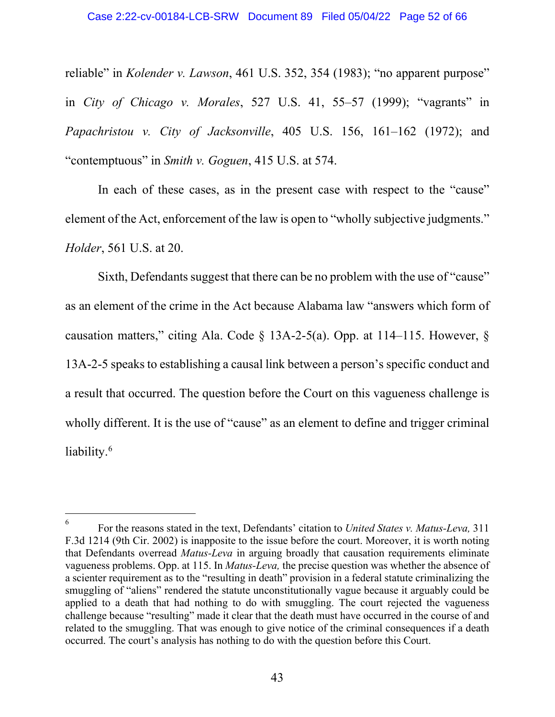reliable" in *Kolender v. Lawson*, 461 U.S. 352, 354 (1983); "no apparent purpose" in *City of Chicago v. Morales*, 527 U.S. 41, 55–57 (1999); "vagrants" in *Papachristou v. City of Jacksonville*, 405 U.S. 156, 161–162 (1972); and "contemptuous" in *Smith v. Goguen*, 415 U.S. at 574.

In each of these cases, as in the present case with respect to the "cause" element of the Act, enforcement of the law is open to "wholly subjective judgments." *Holder*, 561 U.S. at 20.

Sixth, Defendants suggest that there can be no problem with the use of "cause" as an element of the crime in the Act because Alabama law "answers which form of causation matters," citing Ala. Code  $\S$  13A-2-5(a). Opp. at 114–115. However,  $\S$ 13A-2-5 speaks to establishing a causal link between a person's specific conduct and a result that occurred. The question before the Court on this vagueness challenge is wholly different. It is the use of "cause" as an element to define and trigger criminal liability.<sup>[6](#page-51-0)</sup>

<span id="page-51-0"></span><sup>6</sup> For the reasons stated in the text, Defendants' citation to *United States v. Matus-Leva,* 311 F.3d 1214 (9th Cir. 2002) is inapposite to the issue before the court. Moreover, it is worth noting that Defendants overread *Matus-Leva* in arguing broadly that causation requirements eliminate vagueness problems. Opp. at 115. In *Matus-Leva,* the precise question was whether the absence of a scienter requirement as to the "resulting in death" provision in a federal statute criminalizing the smuggling of "aliens" rendered the statute unconstitutionally vague because it arguably could be applied to a death that had nothing to do with smuggling. The court rejected the vagueness challenge because "resulting" made it clear that the death must have occurred in the course of and related to the smuggling. That was enough to give notice of the criminal consequences if a death occurred. The court's analysis has nothing to do with the question before this Court.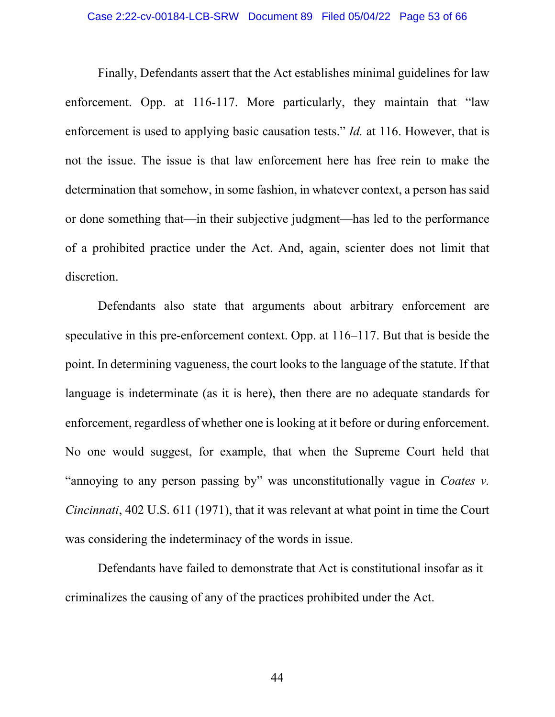#### Case 2:22-cv-00184-LCB-SRW Document 89 Filed 05/04/22 Page 53 of 66

Finally, Defendants assert that the Act establishes minimal guidelines for law enforcement. Opp. at 116-117. More particularly, they maintain that "law enforcement is used to applying basic causation tests." *Id.* at 116. However, that is not the issue. The issue is that law enforcement here has free rein to make the determination that somehow, in some fashion, in whatever context, a person has said or done something that—in their subjective judgment—has led to the performance of a prohibited practice under the Act. And, again, scienter does not limit that discretion.

Defendants also state that arguments about arbitrary enforcement are speculative in this pre-enforcement context. Opp. at 116–117. But that is beside the point. In determining vagueness, the court looks to the language of the statute. If that language is indeterminate (as it is here), then there are no adequate standards for enforcement, regardless of whether one is looking at it before or during enforcement. No one would suggest, for example, that when the Supreme Court held that "annoying to any person passing by" was unconstitutionally vague in *Coates v. Cincinnati*, 402 U.S. 611 (1971), that it was relevant at what point in time the Court was considering the indeterminacy of the words in issue.

Defendants have failed to demonstrate that Act is constitutional insofar as it criminalizes the causing of any of the practices prohibited under the Act.

44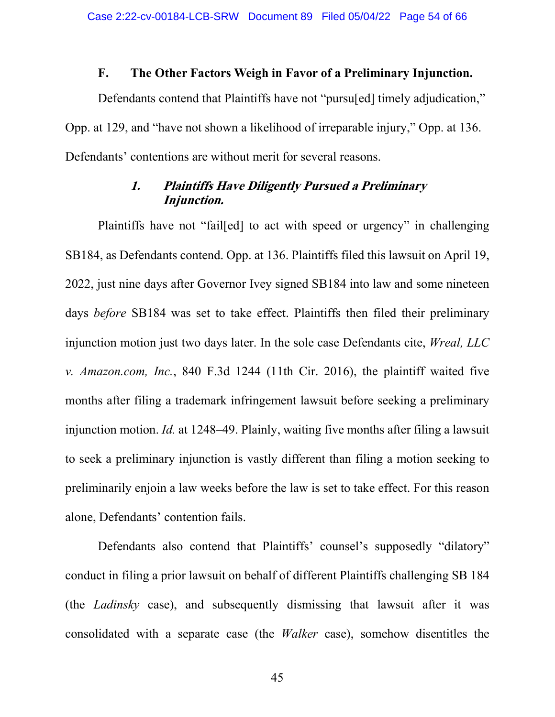### **F. The Other Factors Weigh in Favor of a Preliminary Injunction.**

<span id="page-53-0"></span>Defendants contend that Plaintiffs have not "pursu[ed] timely adjudication," Opp. at 129, and "have not shown a likelihood of irreparable injury," Opp. at 136. Defendants' contentions are without merit for several reasons.

# **1. Plaintiffs Have Diligently Pursued a Preliminary Injunction.**

<span id="page-53-1"></span>Plaintiffs have not "fail[ed] to act with speed or urgency" in challenging SB184, as Defendants contend. Opp. at 136. Plaintiffs filed this lawsuit on April 19, 2022, just nine days after Governor Ivey signed SB184 into law and some nineteen days *before* SB184 was set to take effect. Plaintiffs then filed their preliminary injunction motion just two days later. In the sole case Defendants cite, *Wreal, LLC v. Amazon.com, Inc.*, 840 F.3d 1244 (11th Cir. 2016), the plaintiff waited five months after filing a trademark infringement lawsuit before seeking a preliminary injunction motion. *Id.* at 1248–49. Plainly, waiting five months after filing a lawsuit to seek a preliminary injunction is vastly different than filing a motion seeking to preliminarily enjoin a law weeks before the law is set to take effect. For this reason alone, Defendants' contention fails.

Defendants also contend that Plaintiffs' counsel's supposedly "dilatory" conduct in filing a prior lawsuit on behalf of different Plaintiffs challenging SB 184 (the *Ladinsky* case), and subsequently dismissing that lawsuit after it was consolidated with a separate case (the *Walker* case), somehow disentitles the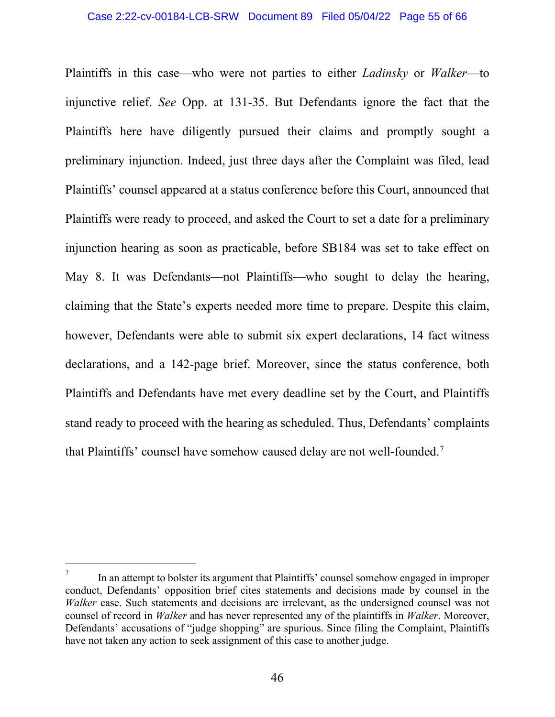Plaintiffs in this case—who were not parties to either *Ladinsky* or *Walker*—to injunctive relief. *See* Opp. at 131-35. But Defendants ignore the fact that the Plaintiffs here have diligently pursued their claims and promptly sought a preliminary injunction. Indeed, just three days after the Complaint was filed, lead Plaintiffs' counsel appeared at a status conference before this Court, announced that Plaintiffs were ready to proceed, and asked the Court to set a date for a preliminary injunction hearing as soon as practicable, before SB184 was set to take effect on May 8. It was Defendants—not Plaintiffs—who sought to delay the hearing, claiming that the State's experts needed more time to prepare. Despite this claim, however, Defendants were able to submit six expert declarations, 14 fact witness declarations, and a 142-page brief. Moreover, since the status conference, both Plaintiffs and Defendants have met every deadline set by the Court, and Plaintiffs stand ready to proceed with the hearing as scheduled. Thus, Defendants' complaints that Plaintiffs' counsel have somehow caused delay are not well-founded.[7](#page-54-0)

<span id="page-54-0"></span><sup>7</sup> In an attempt to bolster its argument that Plaintiffs' counsel somehow engaged in improper conduct, Defendants' opposition brief cites statements and decisions made by counsel in the *Walker* case. Such statements and decisions are irrelevant, as the undersigned counsel was not counsel of record in *Walker* and has never represented any of the plaintiffs in *Walker*. Moreover, Defendants' accusations of "judge shopping" are spurious. Since filing the Complaint, Plaintiffs have not taken any action to seek assignment of this case to another judge.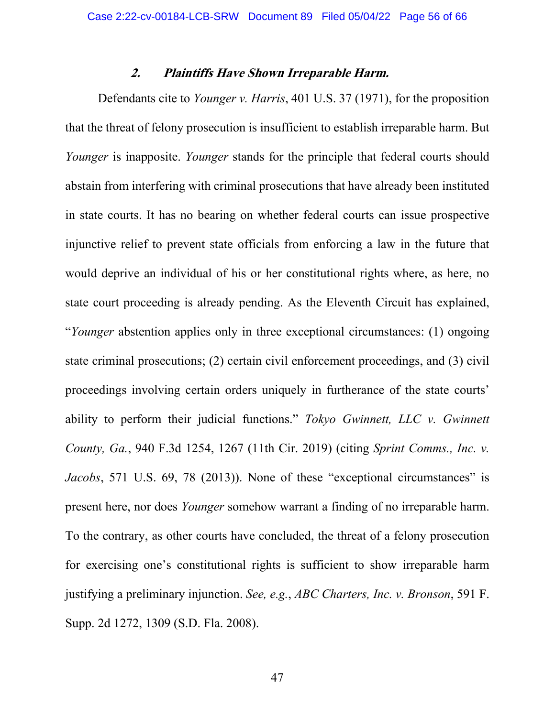### **2. Plaintiffs Have Shown Irreparable Harm.**

<span id="page-55-0"></span>Defendants cite to *Younger v. Harris*, 401 U.S. 37 (1971), for the proposition that the threat of felony prosecution is insufficient to establish irreparable harm. But *Younger* is inapposite. *Younger* stands for the principle that federal courts should abstain from interfering with criminal prosecutions that have already been instituted in state courts. It has no bearing on whether federal courts can issue prospective injunctive relief to prevent state officials from enforcing a law in the future that would deprive an individual of his or her constitutional rights where, as here, no state court proceeding is already pending. As the Eleventh Circuit has explained, "*Younger* abstention applies only in three exceptional circumstances: (1) ongoing state criminal prosecutions; (2) certain civil enforcement proceedings, and (3) civil proceedings involving certain orders uniquely in furtherance of the state courts' ability to perform their judicial functions." *Tokyo Gwinnett, LLC v. Gwinnett County, Ga.*, 940 F.3d 1254, 1267 (11th Cir. 2019) (citing *Sprint Comms., Inc. v. Jacobs*, 571 U.S. 69, 78 (2013)). None of these "exceptional circumstances" is present here, nor does *Younger* somehow warrant a finding of no irreparable harm. To the contrary, as other courts have concluded, the threat of a felony prosecution for exercising one's constitutional rights is sufficient to show irreparable harm justifying a preliminary injunction. *See, e.g.*, *ABC Charters, Inc. v. Bronson*, 591 F. Supp. 2d 1272, 1309 (S.D. Fla. 2008).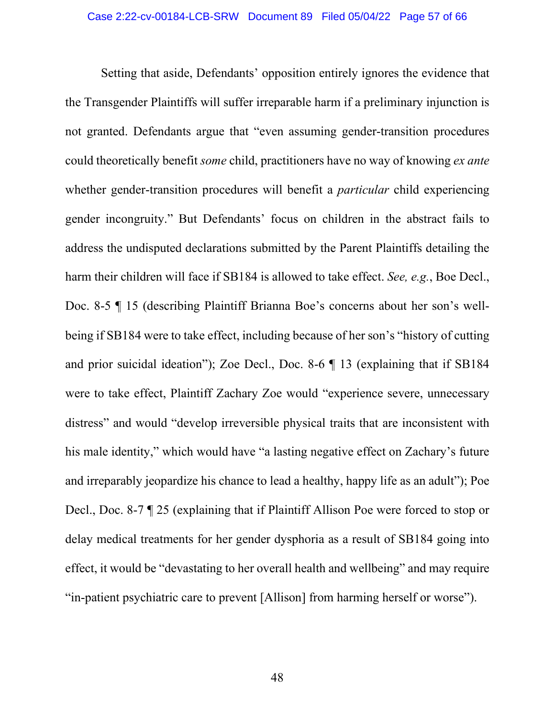Setting that aside, Defendants' opposition entirely ignores the evidence that the Transgender Plaintiffs will suffer irreparable harm if a preliminary injunction is not granted. Defendants argue that "even assuming gender-transition procedures could theoretically benefit *some* child, practitioners have no way of knowing *ex ante*  whether gender-transition procedures will benefit a *particular* child experiencing gender incongruity." But Defendants' focus on children in the abstract fails to address the undisputed declarations submitted by the Parent Plaintiffs detailing the harm their children will face if SB184 is allowed to take effect. *See, e.g.*, Boe Decl., Doc. 8-5 ¶ 15 (describing Plaintiff Brianna Boe's concerns about her son's wellbeing if SB184 were to take effect, including because of her son's "history of cutting and prior suicidal ideation"); Zoe Decl., Doc. 8-6 ¶ 13 (explaining that if SB184 were to take effect, Plaintiff Zachary Zoe would "experience severe, unnecessary distress" and would "develop irreversible physical traits that are inconsistent with his male identity," which would have "a lasting negative effect on Zachary's future and irreparably jeopardize his chance to lead a healthy, happy life as an adult"); Poe Decl., Doc. 8-7 ¶ 25 (explaining that if Plaintiff Allison Poe were forced to stop or delay medical treatments for her gender dysphoria as a result of SB184 going into effect, it would be "devastating to her overall health and wellbeing" and may require "in-patient psychiatric care to prevent [Allison] from harming herself or worse").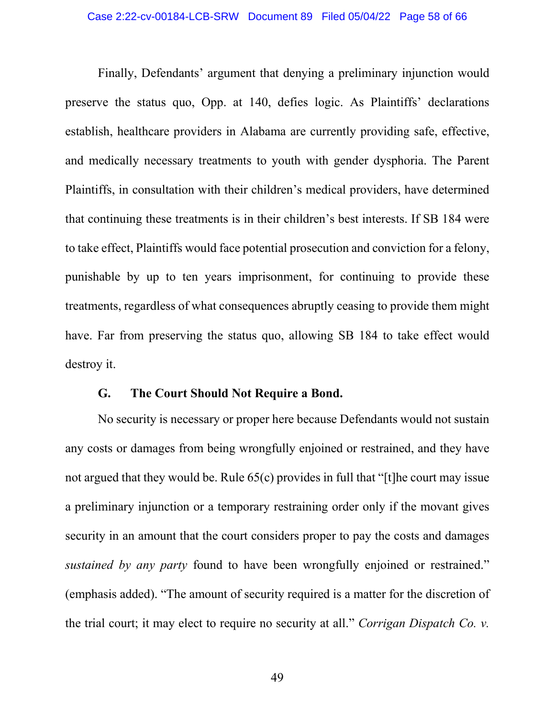#### Case 2:22-cv-00184-LCB-SRW Document 89 Filed 05/04/22 Page 58 of 66

Finally, Defendants' argument that denying a preliminary injunction would preserve the status quo, Opp. at 140, defies logic. As Plaintiffs' declarations establish, healthcare providers in Alabama are currently providing safe, effective, and medically necessary treatments to youth with gender dysphoria. The Parent Plaintiffs, in consultation with their children's medical providers, have determined that continuing these treatments is in their children's best interests. If SB 184 were to take effect, Plaintiffs would face potential prosecution and conviction for a felony, punishable by up to ten years imprisonment, for continuing to provide these treatments, regardless of what consequences abruptly ceasing to provide them might have. Far from preserving the status quo, allowing SB 184 to take effect would destroy it.

### **G. The Court Should Not Require a Bond.**

<span id="page-57-0"></span>No security is necessary or proper here because Defendants would not sustain any costs or damages from being wrongfully enjoined or restrained, and they have not argued that they would be. Rule 65(c) provides in full that "[t]he court may issue a preliminary injunction or a temporary restraining order only if the movant gives security in an amount that the court considers proper to pay the costs and damages *sustained by any party* found to have been wrongfully enjoined or restrained." (emphasis added). "The amount of security required is a matter for the discretion of the trial court; it may elect to require no security at all." *Corrigan Dispatch Co. v.*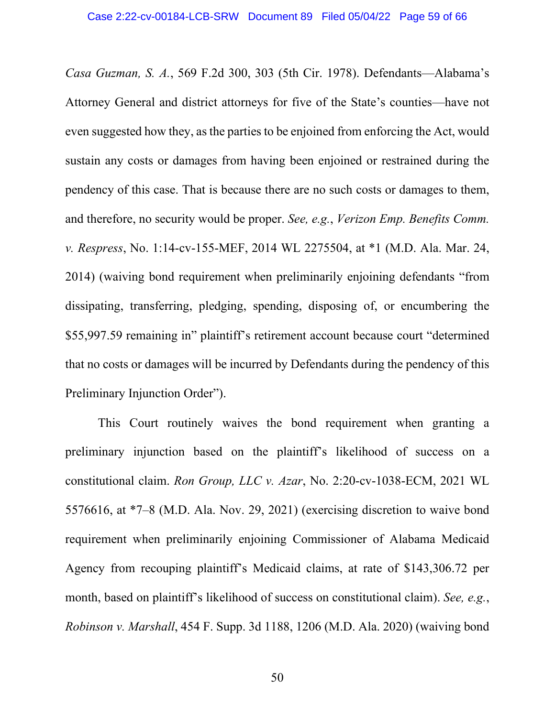*Casa Guzman, S. A.*, 569 F.2d 300, 303 (5th Cir. 1978). Defendants—Alabama's Attorney General and district attorneys for five of the State's counties—have not even suggested how they, as the parties to be enjoined from enforcing the Act, would sustain any costs or damages from having been enjoined or restrained during the pendency of this case. That is because there are no such costs or damages to them, and therefore, no security would be proper. *See, e.g.*, *Verizon Emp. Benefits Comm. v. Respress*, No. 1:14-cv-155-MEF, 2014 WL 2275504, at \*1 (M.D. Ala. Mar. 24, 2014) (waiving bond requirement when preliminarily enjoining defendants "from dissipating, transferring, pledging, spending, disposing of, or encumbering the \$55,997.59 remaining in" plaintiff's retirement account because court "determined that no costs or damages will be incurred by Defendants during the pendency of this Preliminary Injunction Order").

This Court routinely waives the bond requirement when granting a preliminary injunction based on the plaintiff's likelihood of success on a constitutional claim. *Ron Group, LLC v. Azar*, No. 2:20-cv-1038-ECM, 2021 WL 5576616, at \*7–8 (M.D. Ala. Nov. 29, 2021) (exercising discretion to waive bond requirement when preliminarily enjoining Commissioner of Alabama Medicaid Agency from recouping plaintiff's Medicaid claims, at rate of \$143,306.72 per month, based on plaintiff's likelihood of success on constitutional claim). *See, e.g.*, *Robinson v. Marshall*, 454 F. Supp. 3d 1188, 1206 (M.D. Ala. 2020) (waiving bond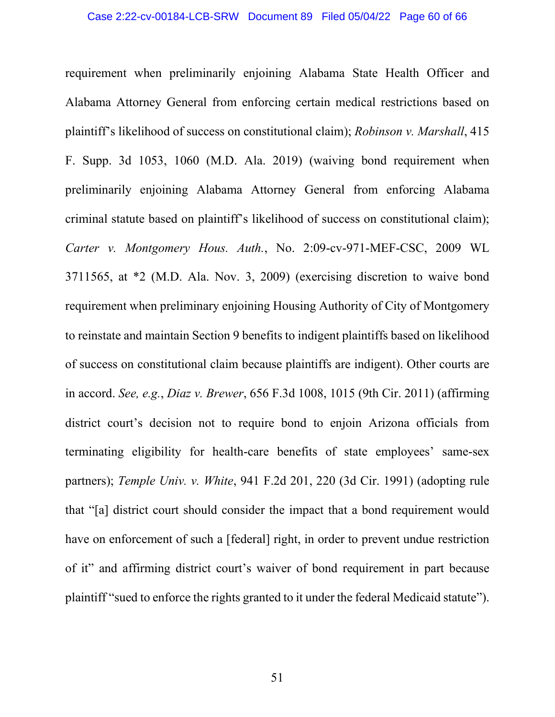requirement when preliminarily enjoining Alabama State Health Officer and Alabama Attorney General from enforcing certain medical restrictions based on plaintiff's likelihood of success on constitutional claim); *Robinson v. Marshall*, 415 F. Supp. 3d 1053, 1060 (M.D. Ala. 2019) (waiving bond requirement when preliminarily enjoining Alabama Attorney General from enforcing Alabama criminal statute based on plaintiff's likelihood of success on constitutional claim); *Carter v. Montgomery Hous. Auth.*, No. 2:09-cv-971-MEF-CSC, 2009 WL 3711565, at \*2 (M.D. Ala. Nov. 3, 2009) (exercising discretion to waive bond requirement when preliminary enjoining Housing Authority of City of Montgomery to reinstate and maintain Section 9 benefits to indigent plaintiffs based on likelihood of success on constitutional claim because plaintiffs are indigent). Other courts are in accord. *See, e.g.*, *Diaz v. Brewer*, 656 F.3d 1008, 1015 (9th Cir. 2011) (affirming district court's decision not to require bond to enjoin Arizona officials from terminating eligibility for health-care benefits of state employees' same-sex partners); *Temple Univ. v. White*, 941 F.2d 201, 220 (3d Cir. 1991) (adopting rule that "[a] district court should consider the impact that a bond requirement would have on enforcement of such a [federal] right, in order to prevent undue restriction of it" and affirming district court's waiver of bond requirement in part because plaintiff "sued to enforce the rights granted to it under the federal Medicaid statute").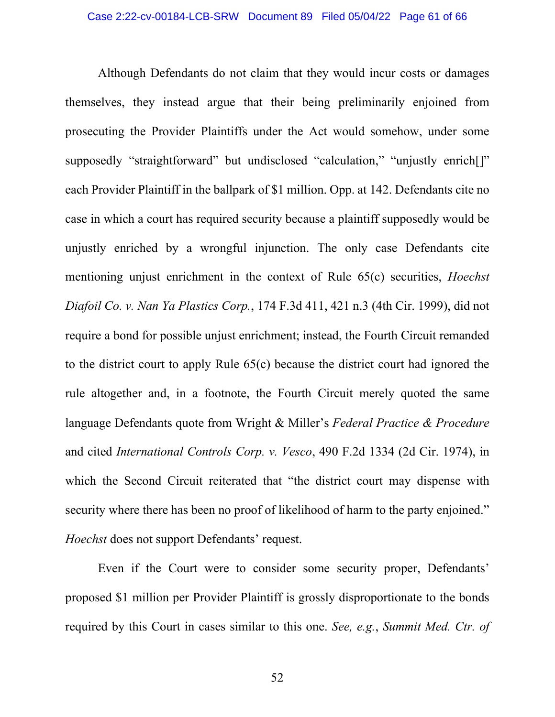Although Defendants do not claim that they would incur costs or damages themselves, they instead argue that their being preliminarily enjoined from prosecuting the Provider Plaintiffs under the Act would somehow, under some supposedly "straightforward" but undisclosed "calculation," "unjustly enrich<sup>[]"</sup> each Provider Plaintiff in the ballpark of \$1 million. Opp. at 142. Defendants cite no case in which a court has required security because a plaintiff supposedly would be unjustly enriched by a wrongful injunction. The only case Defendants cite mentioning unjust enrichment in the context of Rule 65(c) securities, *Hoechst Diafoil Co. v. Nan Ya Plastics Corp.*, 174 F.3d 411, 421 n.3 (4th Cir. 1999), did not require a bond for possible unjust enrichment; instead, the Fourth Circuit remanded to the district court to apply Rule 65(c) because the district court had ignored the rule altogether and, in a footnote, the Fourth Circuit merely quoted the same language Defendants quote from Wright & Miller's *Federal Practice & Procedure* and cited *International Controls Corp. v. Vesco*, 490 F.2d 1334 (2d Cir. 1974), in which the Second Circuit reiterated that "the district court may dispense with security where there has been no proof of likelihood of harm to the party enjoined." *Hoechst* does not support Defendants' request.

Even if the Court were to consider some security proper, Defendants' proposed \$1 million per Provider Plaintiff is grossly disproportionate to the bonds required by this Court in cases similar to this one. *See, e.g.*, *Summit Med. Ctr. of*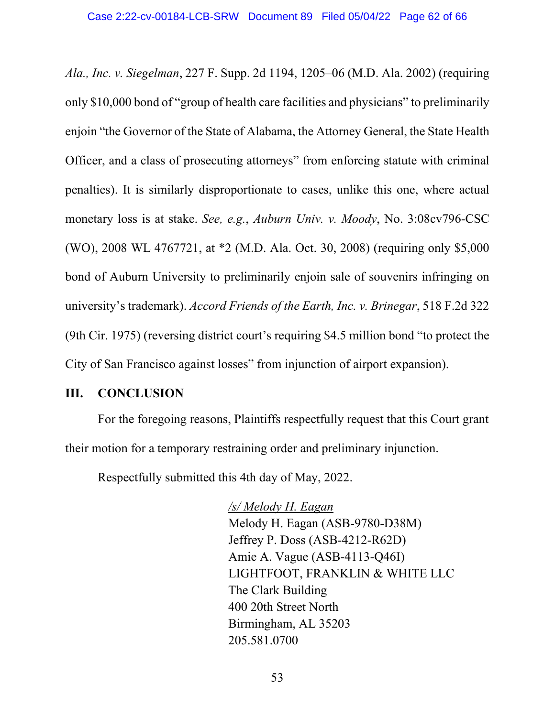*Ala., Inc. v. Siegelman*, 227 F. Supp. 2d 1194, 1205–06 (M.D. Ala. 2002) (requiring only \$10,000 bond of "group of health care facilities and physicians" to preliminarily enjoin "the Governor of the State of Alabama, the Attorney General, the State Health Officer, and a class of prosecuting attorneys" from enforcing statute with criminal penalties). It is similarly disproportionate to cases, unlike this one, where actual monetary loss is at stake. *See, e.g.*, *Auburn Univ. v. Moody*, No. 3:08cv796-CSC (WO), 2008 WL 4767721, at \*2 (M.D. Ala. Oct. 30, 2008) (requiring only \$5,000 bond of Auburn University to preliminarily enjoin sale of souvenirs infringing on university's trademark). *Accord Friends of the Earth, Inc. v. Brinegar*, 518 F.2d 322 (9th Cir. 1975) (reversing district court's requiring \$4.5 million bond "to protect the City of San Francisco against losses" from injunction of airport expansion).

### <span id="page-61-0"></span>**III. CONCLUSION**

For the foregoing reasons, Plaintiffs respectfully request that this Court grant their motion for a temporary restraining order and preliminary injunction.

Respectfully submitted this 4th day of May, 2022.

*/s/ Melody H. Eagan* Melody H. Eagan (ASB-9780-D38M) Jeffrey P. Doss (ASB-4212-R62D) Amie A. Vague (ASB-4113-Q46I) LIGHTFOOT, FRANKLIN & WHITE LLC The Clark Building 400 20th Street North Birmingham, AL 35203 205.581.0700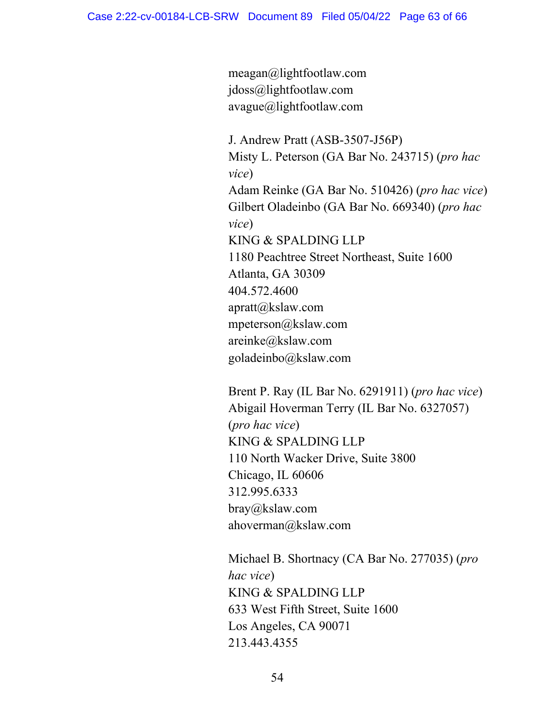meagan@lightfootlaw.com jdoss@lightfootlaw.com avague@lightfootlaw.com

J. Andrew Pratt (ASB-3507-J56P) Misty L. Peterson (GA Bar No. 243715) (*pro hac vice*) Adam Reinke (GA Bar No. 510426) (*pro hac vice*) Gilbert Oladeinbo (GA Bar No. 669340) (*pro hac vice*) KING & SPALDING LLP 1180 Peachtree Street Northeast, Suite 1600 Atlanta, GA 30309 404.572.4600 apratt@kslaw.com mpeterson@kslaw.com areinke@kslaw.com goladeinbo@kslaw.com

Brent P. Ray (IL Bar No. 6291911) (*pro hac vice*) Abigail Hoverman Terry (IL Bar No. 6327057) (*pro hac vice*) KING & SPALDING LLP 110 North Wacker Drive, Suite 3800 Chicago, IL 60606 312.995.6333 bray@kslaw.com ahoverman@kslaw.com

Michael B. Shortnacy (CA Bar No. 277035) (*pro hac vice*) KING & SPALDING LLP 633 West Fifth Street, Suite 1600 Los Angeles, CA 90071 213.443.4355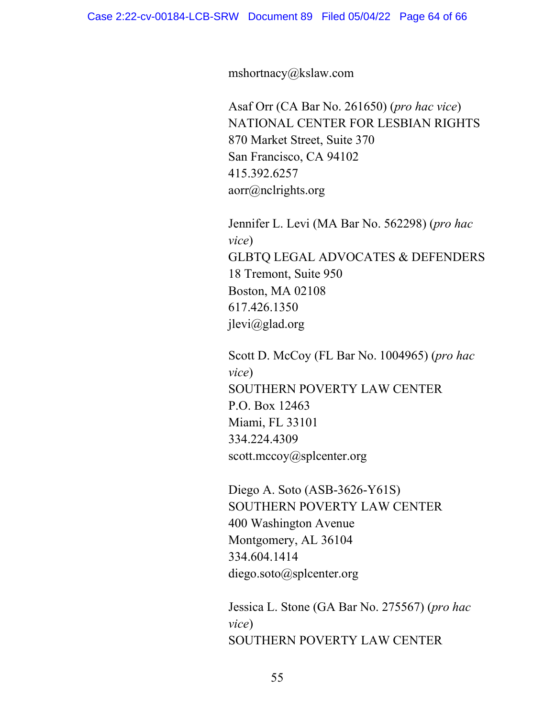mshortnacy@kslaw.com

Asaf Orr (CA Bar No. 261650) (*pro hac vice*) NATIONAL CENTER FOR LESBIAN RIGHTS 870 Market Street, Suite 370 San Francisco, CA 94102 415.392.6257 aorr@nclrights.org

Jennifer L. Levi (MA Bar No. 562298) (*pro hac vice*) GLBTQ LEGAL ADVOCATES & DEFENDERS 18 Tremont, Suite 950 Boston, MA 02108 617.426.1350 jlevi@glad.org

Scott D. McCoy (FL Bar No. 1004965) (*pro hac vice*) SOUTHERN POVERTY LAW CENTER P.O. Box 12463 Miami, FL 33101 334.224.4309 scott.mccoy@splcenter.org

Diego A. Soto (ASB-3626-Y61S) SOUTHERN POVERTY LAW CENTER 400 Washington Avenue Montgomery, AL 36104 334.604.1414 diego.soto@splcenter.org

Jessica L. Stone (GA Bar No. 275567) (*pro hac vice*) SOUTHERN POVERTY LAW CENTER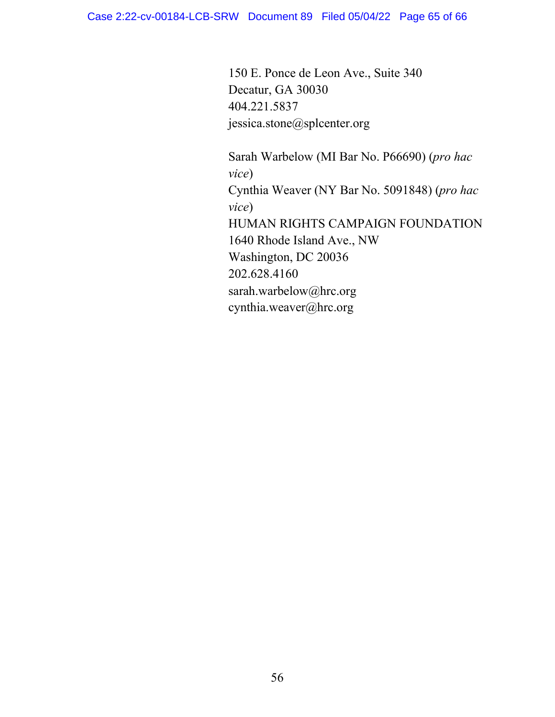150 E. Ponce de Leon Ave., Suite 340 Decatur, GA 30030 404.221.5837 jessica.stone@splcenter.org

Sarah Warbelow (MI Bar No. P66690) (*pro hac vice*) Cynthia Weaver (NY Bar No. 5091848) (*pro hac vice*) HUMAN RIGHTS CAMPAIGN FOUNDATION 1640 Rhode Island Ave., NW Washington, DC 20036 202.628.4160 sarah.warbelow@hrc.org cynthia.weaver@hrc.org